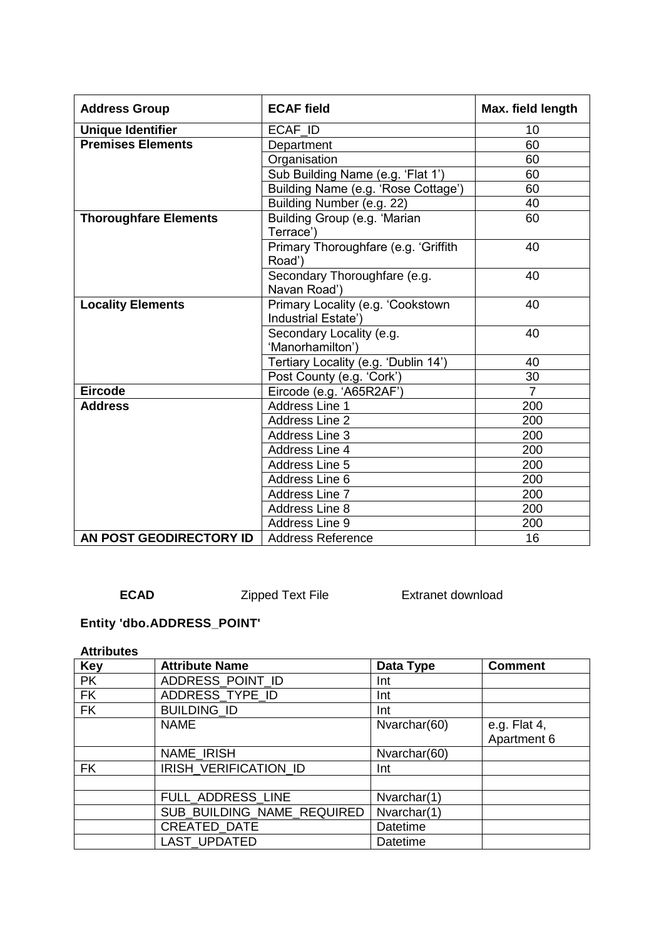| <b>Address Group</b>         | <b>ECAF</b> field                                        | Max. field length |
|------------------------------|----------------------------------------------------------|-------------------|
| <b>Unique Identifier</b>     | ECAF_ID                                                  | 10                |
| <b>Premises Elements</b>     | Department                                               | 60                |
|                              | Organisation                                             | 60                |
|                              | Sub Building Name (e.g. 'Flat 1')                        | 60                |
|                              | Building Name (e.g. 'Rose Cottage')                      | 60                |
|                              | Building Number (e.g. 22)                                | 40                |
| <b>Thoroughfare Elements</b> | Building Group (e.g. 'Marian<br>Terrace')                | 60                |
|                              | Primary Thoroughfare (e.g. 'Griffith<br>Road')           | 40                |
|                              | Secondary Thoroughfare (e.g.<br>Navan Road')             | 40                |
| <b>Locality Elements</b>     | Primary Locality (e.g. 'Cookstown<br>Industrial Estate') | 40                |
|                              | Secondary Locality (e.g.<br>'Manorhamilton')             | 40                |
|                              | Tertiary Locality (e.g. 'Dublin 14')                     | 40                |
|                              | Post County (e.g. 'Cork')                                | 30                |
| <b>Eircode</b>               | Eircode (e.g. 'A65R2AF')                                 | $\overline{7}$    |
| <b>Address</b>               | Address Line 1                                           | 200               |
|                              | <b>Address Line 2</b>                                    | 200               |
|                              | Address Line 3                                           | 200               |
|                              | Address Line 4                                           | 200               |
|                              | Address Line 5                                           | 200               |
|                              | Address Line 6                                           | 200               |
|                              | Address Line 7                                           | 200               |
|                              | Address Line 8                                           | 200               |
|                              | Address Line 9                                           | 200               |
| AN POST GEODIRECTORY ID      | <b>Address Reference</b>                                 | 16                |

**ECAD** Zipped Text File Extranet download

# **Entity 'dbo.ADDRESS\_POINT'**

#### **Attributes**

| <b>Key</b> | <b>Attribute Name</b>      | Data Type       | <b>Comment</b> |
|------------|----------------------------|-----------------|----------------|
| <b>PK</b>  | ADDRESS_POINT_ID           | Int             |                |
| <b>FK</b>  | ADDRESS_TYPE_ID            | Int             |                |
| <b>FK</b>  | <b>BUILDING ID</b>         | Int             |                |
|            | <b>NAME</b>                | Nvarchar(60)    | e.g. Flat 4,   |
|            |                            |                 | Apartment 6    |
|            | NAME_IRISH                 | Nvarchar(60)    |                |
| <b>FK</b>  | IRISH_VERIFICATION_ID      | Int             |                |
|            |                            |                 |                |
|            | FULL ADDRESS LINE          | Nvarchar(1)     |                |
|            | SUB BUILDING NAME REQUIRED | Nvarchar(1)     |                |
|            | CREATED_DATE               | <b>Datetime</b> |                |
|            | <b>LAST UPDATED</b>        | <b>Datetime</b> |                |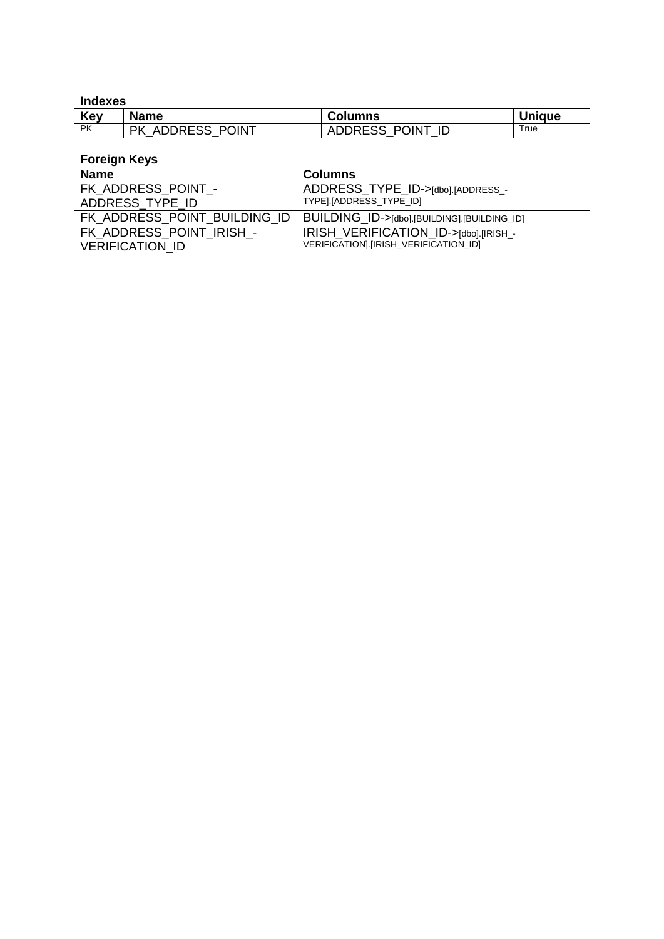### **Indexes**

| Key       | <b>Name</b>                | <b>Columns</b>   | <b>Unique</b> |
|-----------|----------------------------|------------------|---------------|
| <b>PK</b> | <b>ADDRESS POINT</b><br>РK | ADDRESS POINT ID | True          |

| <b>Name</b>                  | <b>Columns</b>                              |
|------------------------------|---------------------------------------------|
| FK ADDRESS POINT -           | ADDRESS TYPE ID->[dbo].[ADDRESS_-           |
| ADDRESS TYPE ID              | TYPE].[ADDRESS TYPE ID]                     |
| FK ADDRESS POINT BUILDING ID | BUILDING_ID->[dbo].[BUILDING].[BUILDING_ID] |
| FK ADDRESS POINT IRISH -     | IRISH_VERIFICATION_ID->[dbo].[IRISH_-       |
| <b>VERIFICATION ID</b>       | VERIFICATION].[IRISH_VERIFICATION_ID]       |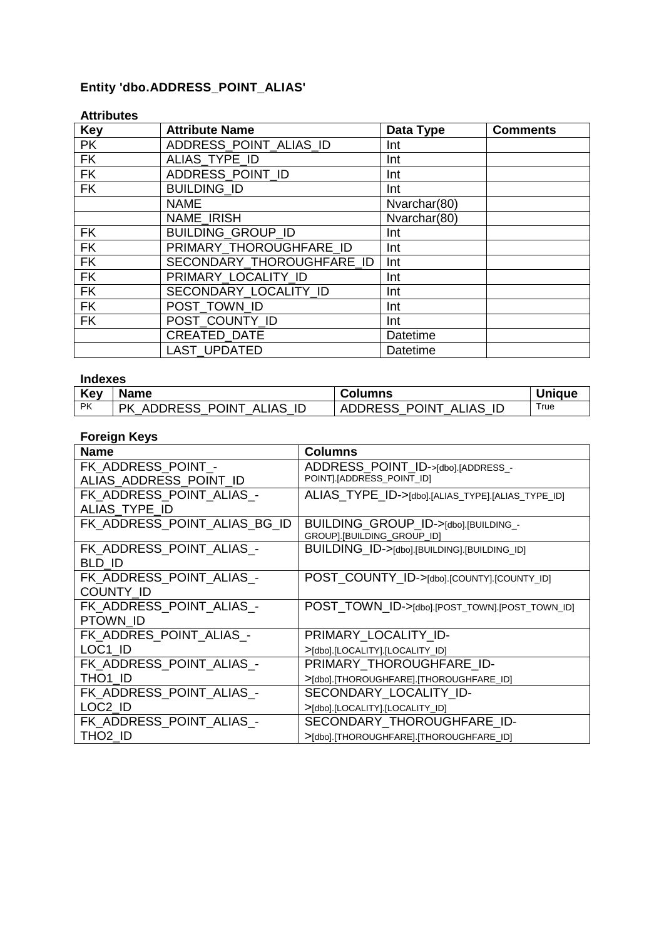## **Entity 'dbo.ADDRESS\_POINT\_ALIAS'**

| <b>Key</b> | <b>Attribute Name</b>     | Data Type    | <b>Comments</b> |
|------------|---------------------------|--------------|-----------------|
| <b>PK</b>  | ADDRESS POINT ALIAS ID    | Int          |                 |
| FK         | ALIAS_TYPE_ID             | Int          |                 |
| <b>FK</b>  | ADDRESS_POINT_ID          | Int          |                 |
| <b>FK</b>  | <b>BUILDING ID</b>        | Int          |                 |
|            | <b>NAME</b>               | Nvarchar(80) |                 |
|            | NAME IRISH                | Nvarchar(80) |                 |
| <b>FK</b>  | BUILDING_GROUP_ID         | Int          |                 |
| <b>FK</b>  | PRIMARY THOROUGHFARE ID   | Int          |                 |
| <b>FK</b>  | SECONDARY_THOROUGHFARE_ID | Int          |                 |
| <b>FK</b>  | PRIMARY LOCALITY ID       | Int          |                 |
| <b>FK</b>  | SECONDARY LOCALITY ID     | Int          |                 |
| FK         | POST TOWN ID              | Int          |                 |
| <b>FK</b>  | POST COUNTY ID            | Int          |                 |
|            | <b>CREATED DATE</b>       | Datetime     |                 |
|            | <b>LAST UPDATED</b>       | Datetime     |                 |

#### **Attributes**

### **Indexes**

| <b>Key</b> | <b>Name</b>                                               | <b>Columns</b>                                                              | 'niaue |
|------------|-----------------------------------------------------------|-----------------------------------------------------------------------------|--------|
| <b>PK</b>  | POINT<br>ID<br><b>JAS</b><br>NDRESS<br>РK<br>ີ ALı,<br>ΑI | <b>DRESS</b><br>POINT<br>IAS<br>ADL<br><sup>-</sup> ALı,<br>וש<br>ΙL<br>ں ب | rue    |

| <b>Name</b>                  | Columns                                           |
|------------------------------|---------------------------------------------------|
| FK_ADDRESS_POINT_-           | ADDRESS_POINT_ID->[dbo].[ADDRESS_-                |
| ALIAS ADDRESS POINT ID       | POINT].[ADDRESS_POINT_ID]                         |
| FK_ADDRESS_POINT_ALIAS_-     | ALIAS_TYPE_ID->[dbo].[ALIAS_TYPE].[ALIAS_TYPE_ID] |
| ALIAS TYPE ID                |                                                   |
| FK_ADDRESS_POINT_ALIAS_BG_ID | BUILDING_GROUP_ID->[dbo].[BUILDING_-              |
|                              | GROUP].[BUILDING_GROUP_ID]                        |
| FK ADDRESS POINT ALIAS -     | BUILDING_ID->[dbo].[BUILDING].[BUILDING_ID]       |
| BLD ID                       |                                                   |
| FK_ADDRESS_POINT_ALIAS_-     | POST_COUNTY_ID->[dbo].[COUNTY].[COUNTY_ID]        |
| COUNTY ID                    |                                                   |
| FK ADDRESS POINT ALIAS -     | POST_TOWN_ID->[dbo].[POST_TOWN].[POST_TOWN_ID]    |
| PTOWN ID                     |                                                   |
| FK ADDRES POINT ALIAS -      | PRIMARY_LOCALITY ID-                              |
| LOC1 ID                      | >[dbo].[LOCALITY].[LOCALITY_ID]                   |
| FK ADDRESS POINT ALIAS -     | PRIMARY_THOROUGHFARE_ID-                          |
| THO1_ID                      | >[dbo].[THOROUGHFARE].[THOROUGHFARE_ID]           |
| FK_ADDRESS_POINT_ALIAS_-     | SECONDARY_LOCALITY_ID-                            |
| LOC2 ID                      | >[dbo].[LOCALITY].[LOCALITY_ID]                   |
| FK_ADDRESS_POINT_ALIAS_-     | SECONDARY_THOROUGHFARE ID-                        |
| THO <sub>2</sub> ID          | >[dbo].[THOROUGHFARE].[THOROUGHFARE_ID]           |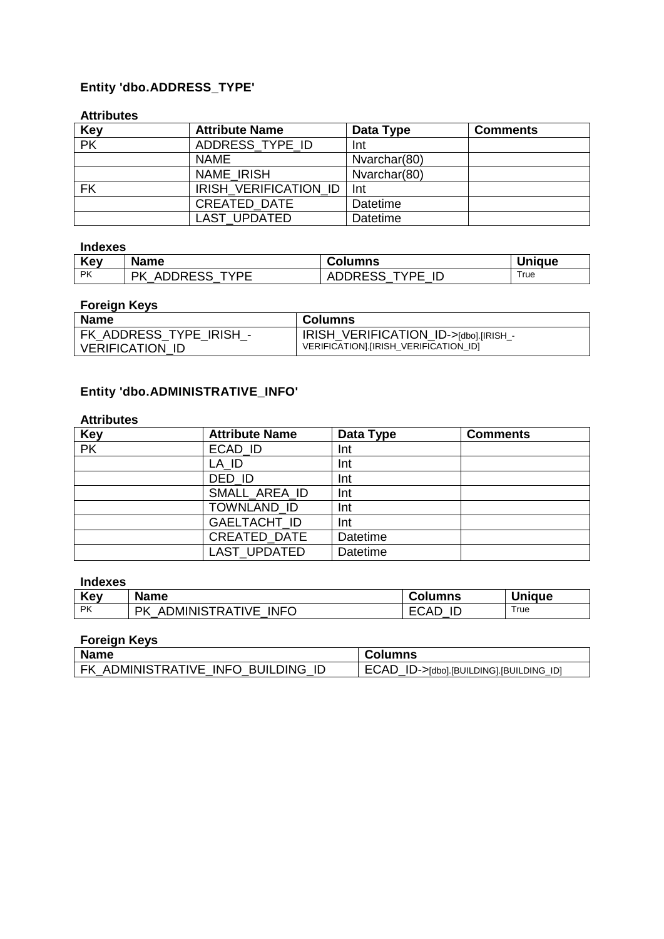## **Entity 'dbo.ADDRESS\_TYPE'**

#### **Attributes**

| <b>Key</b>               | <b>Attribute Name</b> | Data Type    | <b>Comments</b> |
|--------------------------|-----------------------|--------------|-----------------|
| $\overline{\mathsf{PK}}$ | ADDRESS TYPE ID       | Int          |                 |
|                          | <b>NAME</b>           | Nvarchar(80) |                 |
|                          | <b>NAME IRISH</b>     | Nvarchar(80) |                 |
| FK                       | IRISH VERIFICATION ID | Int          |                 |
|                          | <b>CREATED DATE</b>   | Datetime     |                 |
|                          | <b>LAST UPDATED</b>   | Datetime     |                 |

#### **Indexes**

| Kev  | <b>Name</b>     | <b>Columns</b>  | <b>Unique</b> |
|------|-----------------|-----------------|---------------|
| l PK | PK ADDRESS TYPE | ADDRESS TYPE ID | True          |

### **Foreign Keys**

| <b>Name</b>             | <b>Columns</b>                        |
|-------------------------|---------------------------------------|
| FK ADDRESS TYPE IRISH - | IRISH VERIFICATION ID->[dbo].[IRISH_- |
| <b>VERIFICATION ID</b>  | VERIFICATION].[IRISH_VERIFICATION_ID] |

## **Entity 'dbo.ADMINISTRATIVE\_INFO'**

#### **Attributes**

| <b>Key</b>               | <b>Attribute Name</b> | Data Type       | <b>Comments</b> |
|--------------------------|-----------------------|-----------------|-----------------|
| $\overline{\mathsf{PK}}$ | ECAD_ID               | Int             |                 |
|                          | LA ID                 | Int             |                 |
|                          | DED ID                | Int             |                 |
|                          | SMALL_AREA_ID         | Int             |                 |
|                          | TOWNLAND ID           | Int             |                 |
|                          | GAELTACHT_ID          | Int             |                 |
|                          | CREATED_DATE          | <b>Datetime</b> |                 |
|                          | LAST_UPDATED          | <b>Datetime</b> |                 |

### **Indexes**

| Key       | <b>Name</b>                              | Columns           | <b>Unique</b> |
|-----------|------------------------------------------|-------------------|---------------|
| <b>PK</b> | <b>INFO</b><br>ADMINISTRATIVE<br>РK<br>_ | `∩∆∟<br>IC<br>レマロ | True          |

| <b>Name</b>                        | <b>Columns</b>                          |
|------------------------------------|-----------------------------------------|
| FK ADMINISTRATIVE INFO BUILDING ID | ECAD_ID->[dbo].[BUILDING].[BUILDING_ID] |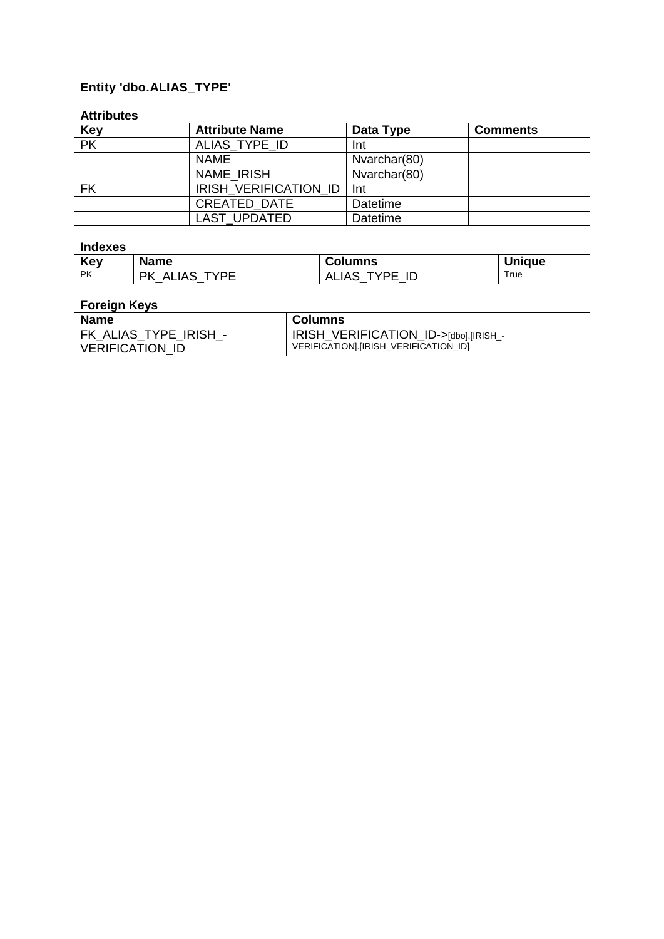## **Entity 'dbo.ALIAS\_TYPE'**

#### **Attributes**

| <b>Key</b>               | <b>Attribute Name</b> | Data Type       | <b>Comments</b> |
|--------------------------|-----------------------|-----------------|-----------------|
| $\overline{\mathsf{PK}}$ | ALIAS TYPE ID         | Int             |                 |
|                          | <b>NAME</b>           | Nvarchar(80)    |                 |
|                          | NAME IRISH            | Nvarchar(80)    |                 |
| <b>FK</b>                | IRISH VERIFICATION ID | Int             |                 |
|                          | <b>CREATED DATE</b>   | Datetime        |                 |
|                          | <b>LAST UPDATED</b>   | <b>Datetime</b> |                 |

#### **Indexes**

| Key       | <b>Name</b>                     | Columns                                          | <b>Unique</b> |
|-----------|---------------------------------|--------------------------------------------------|---------------|
| <b>PK</b> | TVDE<br><b>ALIAS</b><br>РK<br>- | TVDE<br><b>ALIAS</b><br>$\overline{\phantom{a}}$ | True          |

| <b>Name</b>            | <b>Columns</b>                         |
|------------------------|----------------------------------------|
| FK ALIAS TYPE IRISH -  | IRISH VERIFICATION_ID->[dbo].[IRISH_-  |
| <b>VERIFICATION ID</b> | VERIFICATIONI. [IRISH VERIFICATION ID] |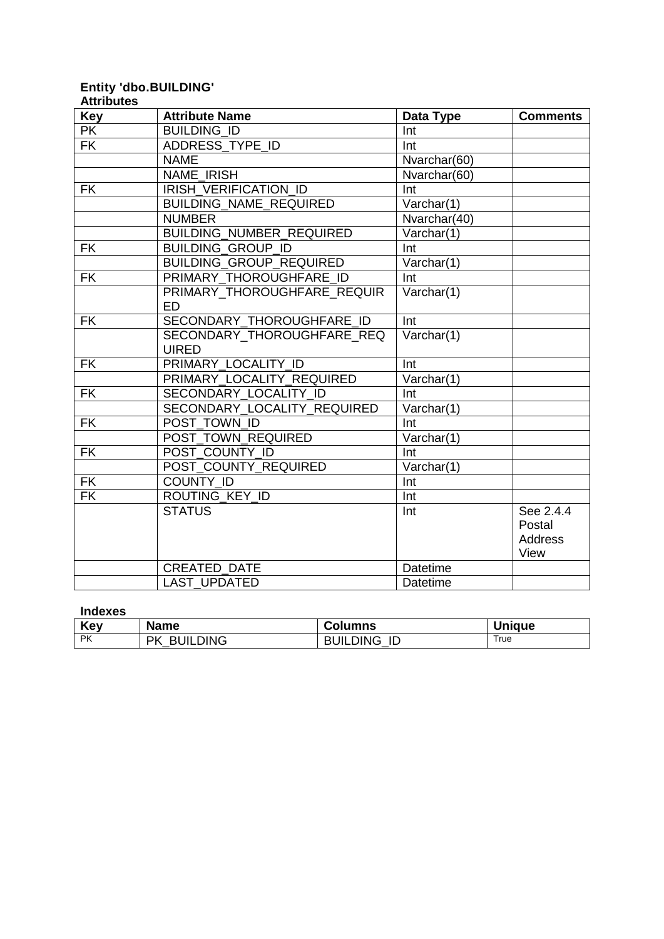#### **Entity 'dbo.BUILDING' Attributes**

| <b>Key</b>               | <b>Attribute Name</b>          | Data Type       | <b>Comments</b> |
|--------------------------|--------------------------------|-----------------|-----------------|
| <b>PK</b>                | <b>BUILDING ID</b>             | Int             |                 |
| $\overline{\mathsf{FK}}$ | ADDRESS TYPE ID                | Int             |                 |
|                          | <b>NAME</b>                    | Nvarchar(60)    |                 |
|                          | <b>NAME IRISH</b>              | Nvarchar(60)    |                 |
| <b>FK</b>                | <b>IRISH VERIFICATION ID</b>   | Int             |                 |
|                          | <b>BUILDING_NAME_REQUIRED</b>  | Varchar(1)      |                 |
|                          | <b>NUMBER</b>                  | Nvarchar(40)    |                 |
|                          | BUILDING_NUMBER_REQUIRED       | Varchar(1)      |                 |
| <b>FK</b>                | <b>BUILDING_GROUP_ID</b>       | Int             |                 |
|                          | <b>BUILDING GROUP REQUIRED</b> | Varchar(1)      |                 |
| <b>FK</b>                | PRIMARY THOROUGHFARE ID        | Int             |                 |
|                          | PRIMARY_THOROUGHFARE_REQUIR    | Varchar(1)      |                 |
|                          | <b>ED</b>                      |                 |                 |
| <b>FK</b>                | SECONDARY THOROUGHFARE ID      | Int             |                 |
|                          | SECONDARY THOROUGHFARE REQ     | Varchar(1)      |                 |
|                          | <b>UIRED</b>                   |                 |                 |
| <b>FK</b>                | PRIMARY LOCALITY ID            | Int             |                 |
|                          | PRIMARY LOCALITY REQUIRED      | Varchar(1)      |                 |
| <b>FK</b>                | SECONDARY LOCALITY ID          | Int             |                 |
|                          | SECONDARY LOCALITY REQUIRED    | Varchar(1)      |                 |
| <b>FK</b>                | POST TOWN ID                   | Int             |                 |
|                          | POST TOWN REQUIRED             | Varchar(1)      |                 |
| <b>FK</b>                | POST COUNTY ID                 | Int             |                 |
|                          | POST_COUNTY_REQUIRED           | Varchar(1)      |                 |
| <b>FK</b>                | COUNTY ID                      | Int             |                 |
| $\overline{\mathsf{FK}}$ | ROUTING KEY ID                 | Int             |                 |
|                          | <b>STATUS</b>                  | Int             | See 2.4.4       |
|                          |                                |                 | Postal          |
|                          |                                |                 | <b>Address</b>  |
|                          |                                |                 | View            |
|                          | <b>CREATED DATE</b>            | <b>Datetime</b> |                 |
|                          | <b>LAST UPDATED</b>            | Datetime        |                 |

#### **Indexes**

| Key       | <b>Name</b>           | <b>Columns</b>        | <b>Unique</b> |
|-----------|-----------------------|-----------------------|---------------|
| <b>PK</b> | <b>BUILDING</b><br>РK | <b>BUILDING</b><br>ID | True          |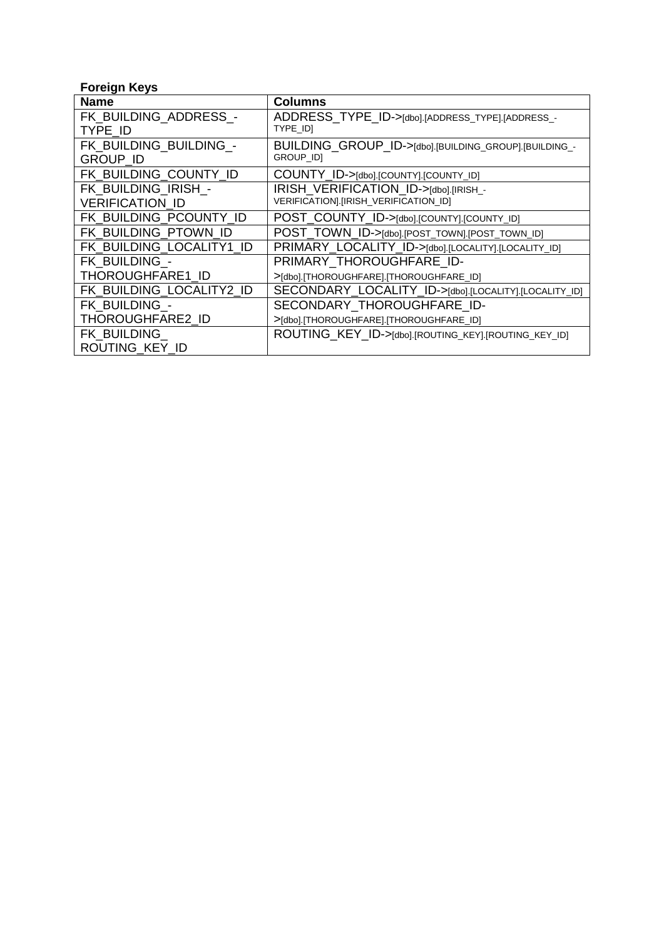| <b>Name</b>              | <b>Columns</b>                                        |
|--------------------------|-------------------------------------------------------|
| FK BUILDING ADDRESS -    | ADDRESS_TYPE_ID->[dbo].[ADDRESS_TYPE].[ADDRESS_-      |
| TYPE ID                  | TYPE_ID]                                              |
| FK BUILDING BUILDING -   | BUILDING_GROUP_ID->[dbo].[BUILDING_GROUP].[BUILDING_- |
| <b>GROUP ID</b>          | <b>GROUP IDI</b>                                      |
| FK BUILDING COUNTY ID    | COUNTY_ID->[dbo].[COUNTY].[COUNTY_ID]                 |
| FK BUILDING IRISH -      | IRISH VERIFICATION ID->[dbo].[IRISH_-                 |
| <b>VERIFICATION ID</b>   | VERIFICATION].[IRISH_VERIFICATION_ID]                 |
| FK BUILDING PCOUNTY ID   | POST_COUNTY_ID->[dbo].[COUNTY].[COUNTY_ID]            |
| FK_BUILDING_PTOWN_ID     | POST_TOWN_ID->[dbo].[POST_TOWN].[POST_TOWN_ID]        |
| FK BUILDING LOCALITY1 ID | PRIMARY_LOCALITY_ID->[dbo].[LOCALITY].[LOCALITY_ID]   |
| FK BUILDING -            | PRIMARY THOROUGHFARE ID-                              |
| THOROUGHFARE1 ID         | >[dbo].[THOROUGHFARE].[THOROUGHFARE_ID]               |
| FK_BUILDING_LOCALITY2_ID | SECONDARY_LOCALITY_ID->[dbo].[LOCALITY].[LOCALITY_ID] |
| FK BUILDING -            | SECONDARY THOROUGHFARE ID-                            |
| THOROUGHFARE2_ID         | >[dbo].[THOROUGHFARE].[THOROUGHFARE_ID]               |
| FK BUILDING              | ROUTING_KEY_ID->[dbo].[ROUTING_KEY].[ROUTING_KEY_ID]  |
| ROUTING KEY ID           |                                                       |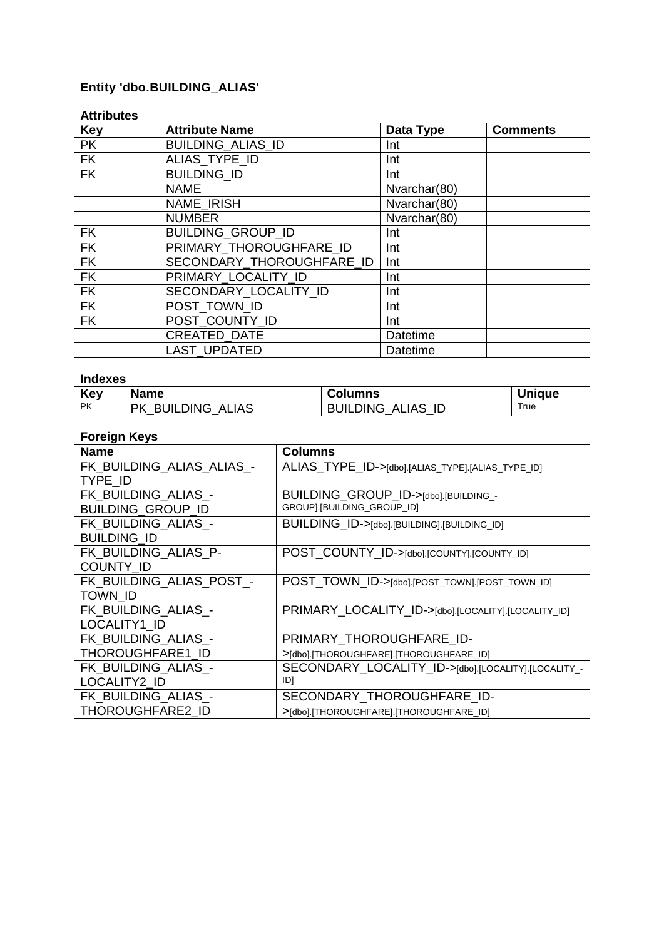## **Entity 'dbo.BUILDING\_ALIAS'**

#### **Attributes**

| <b>Key</b> | <b>Attribute Name</b>     | Data Type    | <b>Comments</b> |
|------------|---------------------------|--------------|-----------------|
| <b>PK</b>  | <b>BUILDING ALIAS ID</b>  | Int          |                 |
| <b>FK</b>  | ALIAS_TYPE_ID             | Int          |                 |
| <b>FK</b>  | <b>BUILDING ID</b>        | Int          |                 |
|            | <b>NAME</b>               | Nvarchar(80) |                 |
|            | <b>NAME IRISH</b>         | Nvarchar(80) |                 |
|            | <b>NUMBER</b>             | Nvarchar(80) |                 |
| <b>FK</b>  | <b>BUILDING GROUP ID</b>  | Int          |                 |
| <b>FK</b>  | PRIMARY THOROUGHFARE ID   | Int          |                 |
| <b>FK</b>  | SECONDARY_THOROUGHFARE_ID | Int          |                 |
| <b>FK</b>  | PRIMARY LOCALITY ID       | Int          |                 |
| <b>FK</b>  | SECONDARY_LOCALITY ID     | Int          |                 |
| <b>FK</b>  | POST TOWN ID              | Int          |                 |
| <b>FK</b>  | POST COUNTY ID            | Int          |                 |
|            | CREATED_DATE              | Datetime     |                 |
|            | <b>LAST UPDATED</b>       | Datetime     |                 |

#### **Indexes**

| Key       | <b>Name</b>                        | <b>Columns</b>                 | <b>Unique</b> |
|-----------|------------------------------------|--------------------------------|---------------|
| <b>PK</b> | <b>BUILDING ALIAS</b><br><b>PK</b> | <b>BUILDING</b><br>ID<br>ALIAS | True          |

| <b>Name</b>               | <b>Columns</b>                                      |
|---------------------------|-----------------------------------------------------|
| FK BUILDING ALIAS ALIAS - | ALIAS_TYPE_ID->[dbo].[ALIAS_TYPE].[ALIAS_TYPE_ID]   |
| TYPE ID                   |                                                     |
| FK BUILDING ALIAS -       | BUILDING GROUP ID->[dbo].[BUILDING_-                |
| <b>BUILDING GROUP ID</b>  | GROUP].[BUILDING_GROUP_ID]                          |
| FK BUILDING ALIAS -       | BUILDING_ID->[dbo].[BUILDING].[BUILDING_ID]         |
| <b>BUILDING ID</b>        |                                                     |
| FK BUILDING ALIAS P-      | POST_COUNTY_ID->[dbo].[COUNTY].[COUNTY_ID]          |
| <b>COUNTY ID</b>          |                                                     |
| FK BUILDING ALIAS POST -  | POST_TOWN_ID->[dbo].[POST_TOWN].[POST_TOWN_ID]      |
| TOWN ID                   |                                                     |
| FK BUILDING_ALIAS_-       | PRIMARY_LOCALITY_ID->[dbo].[LOCALITY].[LOCALITY_ID] |
| LOCALITY1_ID              |                                                     |
| FK BUILDING ALIAS -       | PRIMARY_THOROUGHFARE ID-                            |
| THOROUGHFARE1 ID          | >[dbo].[THOROUGHFARE].[THOROUGHFARE_ID]             |
| FK BUILDING ALIAS -       | SECONDARY_LOCALITY_ID->[dbo].[LOCALITY].[LOCALITY_- |
| LOCALITY2 ID              | ID]                                                 |
| FK BUILDING ALIAS -       | SECONDARY_THOROUGHFARE ID-                          |
| THOROUGHFARE2 ID          | >[dbo].[THOROUGHFARE].[THOROUGHFARE_ID]             |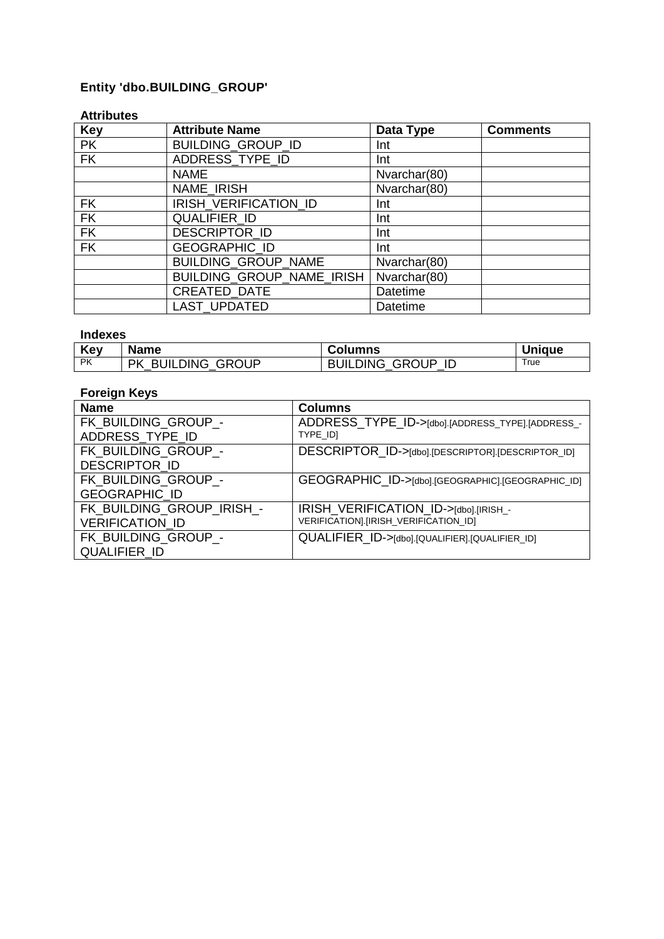## **Entity 'dbo.BUILDING\_GROUP'**

### **Attributes**

| <b>Key</b> | <b>Attribute Name</b>            | Data Type    | <b>Comments</b> |
|------------|----------------------------------|--------------|-----------------|
| <b>PK</b>  | BUILDING_GROUP_ID                | Int          |                 |
| FK         | ADDRESS_TYPE_ID                  | Int          |                 |
|            | <b>NAME</b>                      | Nvarchar(80) |                 |
|            | NAME_IRISH                       | Nvarchar(80) |                 |
| <b>FK</b>  | IRISH_VERIFICATION_ID            | Int          |                 |
| FK         | QUALIFIER ID                     | Int          |                 |
| FK         | <b>DESCRIPTOR ID</b>             | Int          |                 |
| FK         | GEOGRAPHIC_ID                    | Int          |                 |
|            | BUILDING_GROUP_NAME              | Nvarchar(80) |                 |
|            | <b>BUILDING GROUP NAME IRISH</b> | Nvarchar(80) |                 |
|            | CREATED_DATE                     | Datetime     |                 |
|            | <b>LAST UPDATED</b>              | Datetime     |                 |

#### **Indexes**

| Key       | <b>Name</b>                 | <b>Columns</b>              | Uniaue     |
|-----------|-----------------------------|-----------------------------|------------|
| <b>PK</b> | <b>BUILDING GROUP</b><br>РK | <b>BUILDING GROUP</b><br>ТD | $\tau$ rue |

| <b>Name</b>                                         | <b>Columns</b>                                                                 |
|-----------------------------------------------------|--------------------------------------------------------------------------------|
| FK BUILDING GROUP -<br>ADDRESS_TYPE_ID              | ADDRESS_TYPE_ID->[dbo].[ADDRESS_TYPE].[ADDRESS_-<br>TYPE IDI                   |
| FK BUILDING GROUP -<br>DESCRIPTOR_ID                | DESCRIPTOR_ID->[dbo].[DESCRIPTOR].[DESCRIPTOR_ID]                              |
| FK BUILDING GROUP -<br><b>GEOGRAPHIC ID</b>         | GEOGRAPHIC_ID->[dbo].[GEOGRAPHIC].[GEOGRAPHIC_ID]                              |
| FK BUILDING GROUP IRISH -<br><b>VERIFICATION ID</b> | IRISH_VERIFICATION_ID->[dbo].[IRISH_-<br>VERIFICATION].[IRISH_VERIFICATION_ID] |
| FK BUILDING GROUP -<br><b>QUALIFIER ID</b>          | QUALIFIER_ID->[dbo].[QUALIFIER].[QUALIFIER_ID]                                 |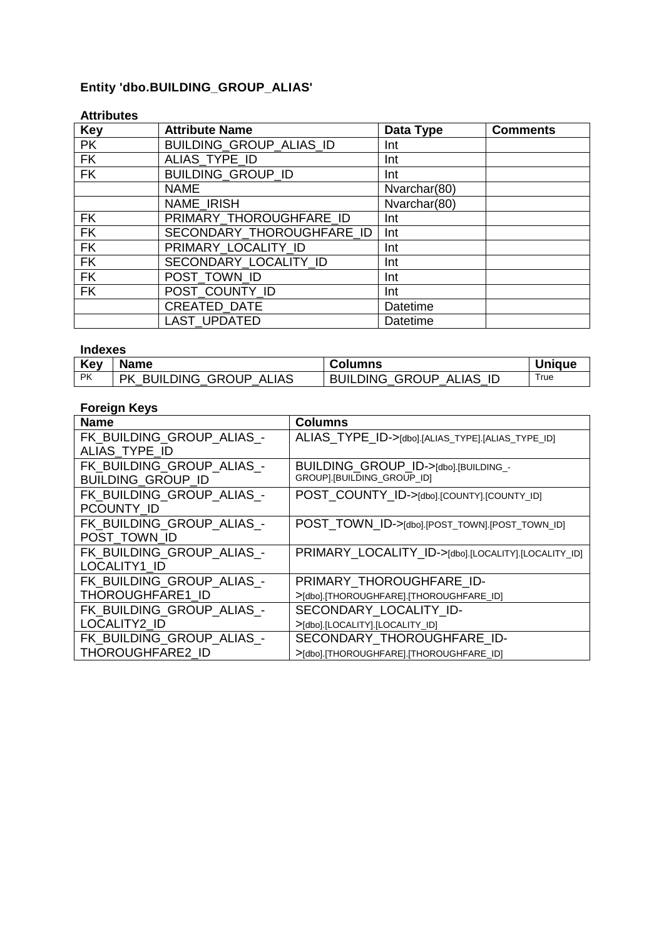## **Entity 'dbo.BUILDING\_GROUP\_ALIAS'**

### **Attributes**

| <b>Key</b> | <b>Attribute Name</b>          | Data Type    | <b>Comments</b> |
|------------|--------------------------------|--------------|-----------------|
| <b>PK</b>  | <b>BUILDING GROUP ALIAS ID</b> | Int          |                 |
| <b>FK</b>  | ALIAS_TYPE_ID                  | Int          |                 |
| <b>FK</b>  | <b>BUILDING_GROUP_ID</b>       | Int          |                 |
|            | <b>NAME</b>                    | Nvarchar(80) |                 |
|            | NAME_IRISH                     | Nvarchar(80) |                 |
| <b>FK</b>  | PRIMARY THOROUGHFARE ID        | Int          |                 |
| <b>FK</b>  | SECONDARY THOROUGHFARE ID      | Int          |                 |
| <b>FK</b>  | PRIMARY_LOCALITY_ID            | Int          |                 |
| <b>FK</b>  | SECONDARY_LOCALITY ID          | Int          |                 |
| <b>FK</b>  | POST TOWN ID                   | Int          |                 |
| <b>FK</b>  | POST COUNTY ID                 | Int          |                 |
|            | <b>CREATED DATE</b>            | Datetime     |                 |
|            | <b>LAST UPDATED</b>            | Datetime     |                 |

#### **Indexes**

| <b>Key</b> | <b>Name</b>                                        | <b>Columns</b>                        | Uniaue |
|------------|----------------------------------------------------|---------------------------------------|--------|
| PK         | <b>BUILDING GROUP</b><br><b>PK</b><br><b>ALIAS</b> | <b>BUILDING GROUP</b><br>-ID<br>ALIAS | True   |

| <b>Name</b>               | <b>Columns</b>                                      |
|---------------------------|-----------------------------------------------------|
| FK BUILDING GROUP ALIAS - | ALIAS_TYPE_ID->[dbo].[ALIAS_TYPE].[ALIAS_TYPE_ID]   |
| ALIAS_TYPE ID             |                                                     |
| FK BUILDING GROUP ALIAS - | BUILDING GROUP ID->[dbo].[BUILDING_-                |
| <b>BUILDING GROUP ID</b>  | GROUP].[BUILDING_GROUP_ID]                          |
| FK BUILDING GROUP ALIAS - | POST_COUNTY_ID->[dbo].[COUNTY].[COUNTY_ID]          |
| PCOUNTY ID                |                                                     |
| FK BUILDING GROUP ALIAS - | POST_TOWN_ID->[dbo].[POST_TOWN].[POST_TOWN_ID]      |
| POST TOWN ID              |                                                     |
| FK BUILDING GROUP ALIAS - | PRIMARY_LOCALITY_ID->[dbo].[LOCALITY].[LOCALITY_ID] |
| LOCALITY1_ID              |                                                     |
| FK_BUILDING_GROUP_ALIAS - | PRIMARY THOROUGHFARE ID-                            |
| THOROUGHFARE1 ID          | >[dbo].[THOROUGHFARE].[THOROUGHFARE_ID]             |
| FK BUILDING GROUP ALIAS - | SECONDARY LOCALITY ID-                              |
| LOCALITY2 ID              | >[dbo].[LOCALITY].[LOCALITY_ID]                     |
| FK_BUILDING_GROUP_ALIAS - | SECONDARY THOROUGHFARE ID-                          |
| THOROUGHFARE2_ID          | >[dbo].[THOROUGHFARE].[THOROUGHFARE_ID]             |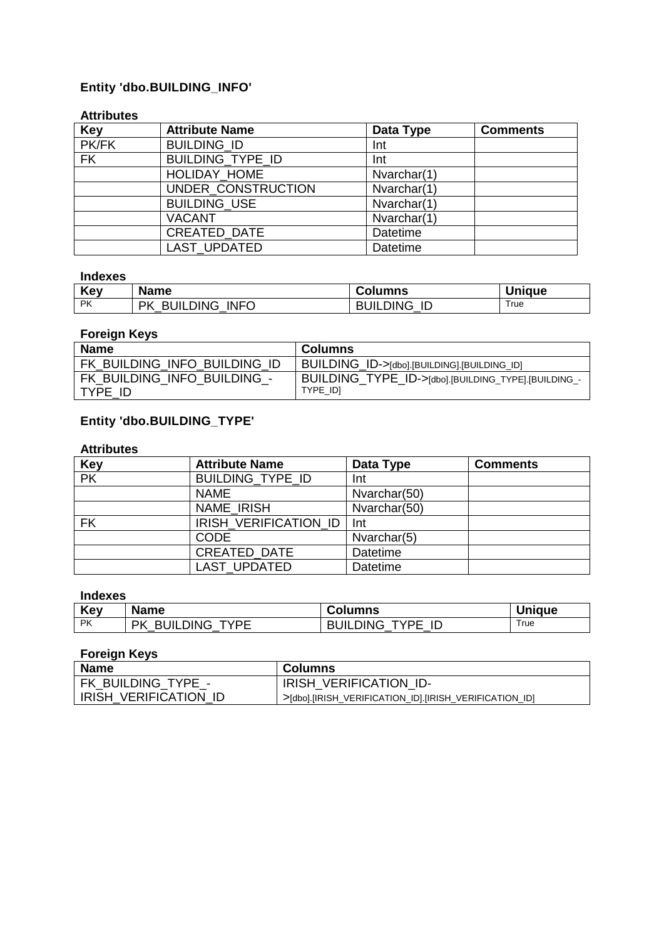## **Entity 'dbo.BUILDING\_INFO'**

#### **Attributes**

| <b>Key</b> | <b>Attribute Name</b> | Data Type       | <b>Comments</b> |
|------------|-----------------------|-----------------|-----------------|
| PK/FK      | <b>BUILDING ID</b>    | Int             |                 |
| <b>FK</b>  | BUILDING_TYPE_ID      | Int             |                 |
|            | HOLIDAY_HOME          | Nvarchar(1)     |                 |
|            | UNDER CONSTRUCTION    | Nvarchar(1)     |                 |
|            | <b>BUILDING_USE</b>   | Nvarchar(1)     |                 |
|            | <b>VACANT</b>         | Nvarchar(1)     |                 |
|            | <b>CREATED DATE</b>   | Datetime        |                 |
|            | <b>LAST UPDATED</b>   | <b>Datetime</b> |                 |

#### **Indexes**

| Key       | <b>Name</b>                | <b>Columns</b>        | <b>Unique</b> |
|-----------|----------------------------|-----------------------|---------------|
| <b>PK</b> | <b>BUILDING INFO</b><br>РK | <b>BUILDING</b><br>ID | True          |

#### **Foreign Keys**

| <b>Name</b>                            | <b>Columns</b>                                                  |
|----------------------------------------|-----------------------------------------------------------------|
| FK BUILDING INFO BUILDING ID           | BUILDING_ID->[dbo].[BUILDING].[BUILDING_ID]                     |
| FK BUILDING INFO BUILDING -<br>TYPE ID | BUILDING_TYPE_ID->[dbo].[BUILDING_TYPE].[BUILDING_-<br>TYPE IDI |

### **Entity 'dbo.BUILDING\_TYPE'**

#### **Attributes**

| <b>Key</b> | <b>Attribute Name</b>        | Data Type       | <b>Comments</b> |
|------------|------------------------------|-----------------|-----------------|
| PK         | <b>BUILDING TYPE ID</b>      | Int             |                 |
|            | <b>NAME</b>                  | Nvarchar(50)    |                 |
|            | NAME IRISH                   | Nvarchar(50)    |                 |
| <b>FK</b>  | <b>IRISH VERIFICATION ID</b> | <b>Int</b>      |                 |
|            | <b>CODE</b>                  | Nvarchar(5)     |                 |
|            | <b>CREATED DATE</b>          | <b>Datetime</b> |                 |
|            | <b>LAST UPDATED</b>          | <b>Datetime</b> |                 |

#### **Indexes**

| Key       | <b>Name</b>                   | <b>Columns</b>                | <b>Unique</b> |
|-----------|-------------------------------|-------------------------------|---------------|
| <b>PK</b> | <b>BUILDING</b><br>TVDE<br>РK | <b>BUILDING</b><br>TVDE<br>ΙD | True          |

| Name                         | Columns                                                |
|------------------------------|--------------------------------------------------------|
| FK BUILDING TYPE -           | IRISH VERIFICATION ID-                                 |
| <b>IRISH VERIFICATION ID</b> | >[dbo].[IRISH_VERIFICATION_ID].[IRISH_VERIFICATION_ID] |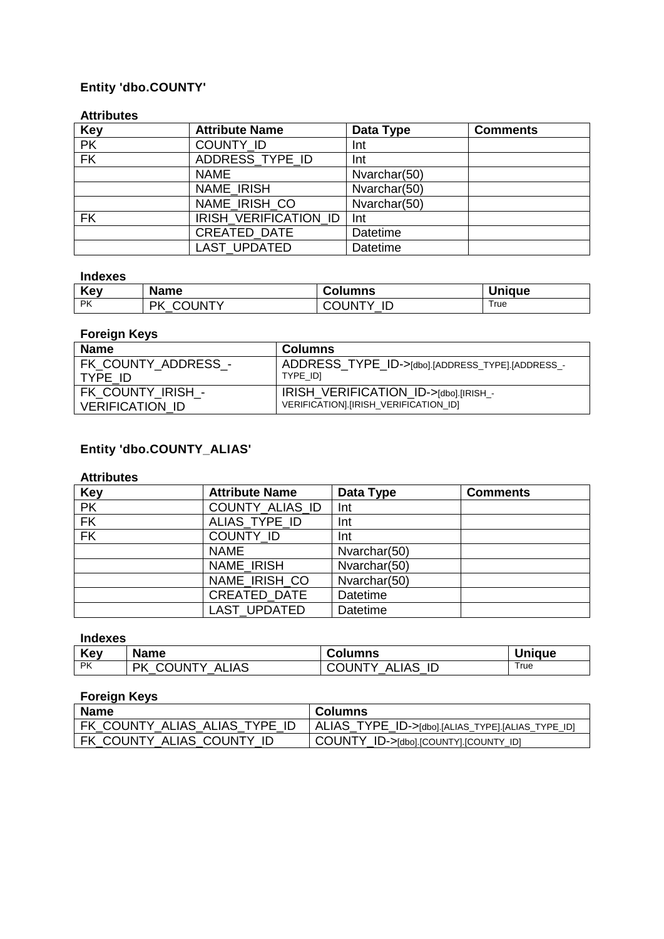## **Entity 'dbo.COUNTY'**

#### **Attributes**

| <b>Key</b> | <b>Attribute Name</b> | Data Type       | <b>Comments</b> |
|------------|-----------------------|-----------------|-----------------|
| <b>PK</b>  | COUNTY_ID             | Int             |                 |
| FK         | ADDRESS_TYPE_ID       | Int             |                 |
|            | <b>NAME</b>           | Nvarchar(50)    |                 |
|            | NAME IRISH            | Nvarchar(50)    |                 |
|            | NAME_IRISH_CO         | Nvarchar(50)    |                 |
| <b>FK</b>  | IRISH VERIFICATION ID | Int             |                 |
|            | CREATED_DATE          | <b>Datetime</b> |                 |
|            | <b>LAST UPDATED</b>   | <b>Datetime</b> |                 |

#### **Indexes**

| Key  | <b>Name</b>         | <b>Columns</b>      | <b>Unique</b> |
|------|---------------------|---------------------|---------------|
| l PK | <b>COUNTY</b><br>РK | <b>COUNTY</b><br>ID | True          |

#### **Foreign Keys**

| <b>Name</b>            | Columns                                          |
|------------------------|--------------------------------------------------|
| FK COUNTY ADDRESS -    | ADDRESS_TYPE_ID->[dbo].[ADDRESS_TYPE].[ADDRESS_- |
| TYPE ID                | TYPE IDI                                         |
| FK COUNTY IRISH -      | IRISH VERIFICATION_ID->[dbo].[IRISH_-            |
| <b>VERIFICATION ID</b> | VERIFICATION].[IRISH_VERIFICATION_ID]            |

## **Entity 'dbo.COUNTY\_ALIAS'**

#### **Attributes**

| <b>Key</b> | <b>Attribute Name</b> | Data Type    | <b>Comments</b> |
|------------|-----------------------|--------------|-----------------|
| <b>PK</b>  | COUNTY_ALIAS_ID       | Int          |                 |
| FK         | ALIAS TYPE ID         | Int          |                 |
| <b>FK</b>  | <b>COUNTY ID</b>      | Int          |                 |
|            | <b>NAME</b>           | Nvarchar(50) |                 |
|            | NAME IRISH            | Nvarchar(50) |                 |
|            | NAME_IRISH_CO         | Nvarchar(50) |                 |
|            | <b>CREATED DATE</b>   | Datetime     |                 |
|            | <b>LAST UPDATED</b>   | Datetime     |                 |

#### **Indexes**

| Key       | <b>Name</b>                  | <b>Columns</b>               | <b>Unique</b> |
|-----------|------------------------------|------------------------------|---------------|
| <b>PK</b> | COUNTY<br><b>ALIAS</b><br>ΡK | OUNTY.<br>ALIAS<br>ID<br>$-$ | True          |

| <b>Name</b>                   | <b>Columns</b>                                    |
|-------------------------------|---------------------------------------------------|
| FK_COUNTY_ALIAS_ALIAS_TYPE_ID | ALIAS_TYPE_ID->[dbo].[ALIAS_TYPE].[ALIAS_TYPE_ID] |
| FK COUNTY ALIAS COUNTY ID     | COUNTY_ID->[dbo].[COUNTY].[COUNTY_ID]             |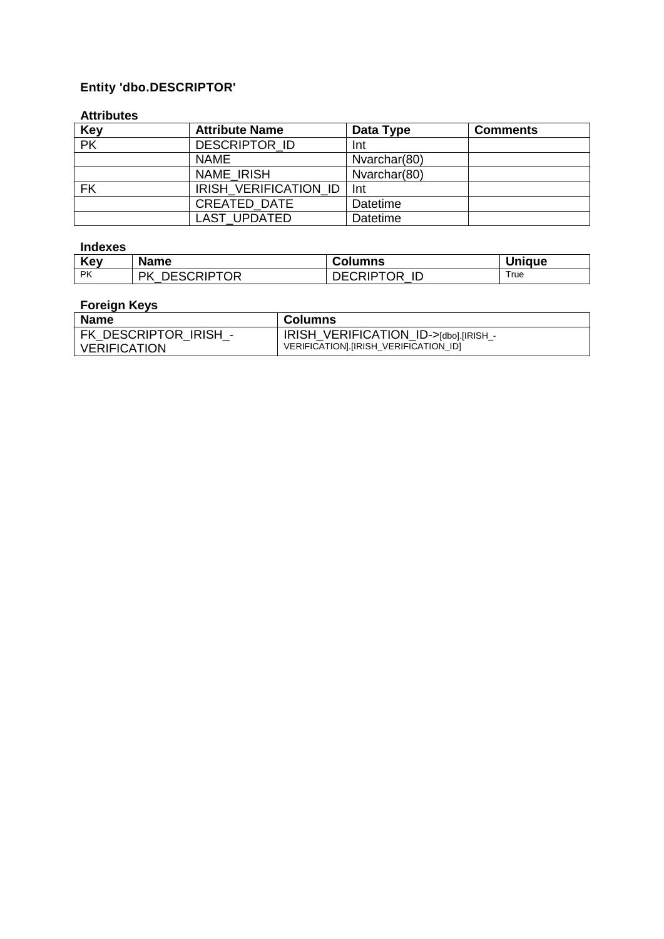## **Entity 'dbo.DESCRIPTOR'**

#### **Attributes**

| <b>Key</b>               | <b>Attribute Name</b>        | Data Type       | <b>Comments</b> |
|--------------------------|------------------------------|-----------------|-----------------|
| $\overline{\mathsf{PK}}$ | <b>DESCRIPTOR ID</b>         | Int             |                 |
|                          | <b>NAME</b>                  | Nvarchar(80)    |                 |
|                          | <b>NAME IRISH</b>            | Nvarchar(80)    |                 |
| <b>FK</b>                | <b>IRISH VERIFICATION ID</b> | Int             |                 |
|                          | <b>CREATED DATE</b>          | Datetime        |                 |
|                          | <b>LAST UPDATED</b>          | <b>Datetime</b> |                 |

#### **Indexes**

| Key       | <b>Name</b>              | <b>Columns</b>         | <b>Unique</b> |
|-----------|--------------------------|------------------------|---------------|
| <b>PK</b> | <b>DESCRIPTOR</b><br>PK. | <b>DECRIPTOR</b><br>ID | Γrue          |

| <b>Name</b>           | Columns                                |
|-----------------------|----------------------------------------|
| FK DESCRIPTOR IRISH - | IRISH VERIFICATION_ID->[dbo].[IRISH_-  |
| VERIFICATION          | VERIFICATIONI. [IRISH VERIFICATION ID] |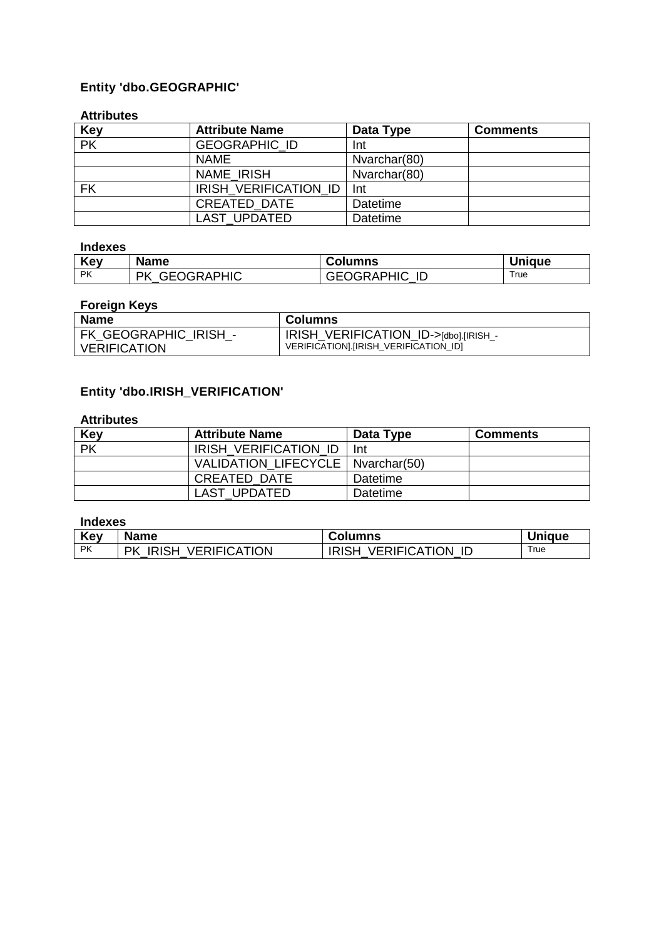## **Entity 'dbo.GEOGRAPHIC'**

#### **Attributes**

| <b>Key</b>               | <b>Attribute Name</b> | Data Type    | <b>Comments</b> |
|--------------------------|-----------------------|--------------|-----------------|
| $\overline{\mathsf{PK}}$ | <b>GEOGRAPHIC ID</b>  | Int          |                 |
|                          | <b>NAME</b>           | Nvarchar(80) |                 |
|                          | <b>NAME IRISH</b>     | Nvarchar(80) |                 |
| <b>FK</b>                | IRISH VERIFICATION ID | -Int         |                 |
|                          | <b>CREATED DATE</b>   | Datetime     |                 |
|                          | LAST UPDATED          | Datetime     |                 |

#### **Indexes**

| Key  | <b>Name</b>             | <b>Columns</b>       | <b>Unique</b> |
|------|-------------------------|----------------------|---------------|
| l PK | <b>GEOGRAPHIC</b><br>РK | <b>GEOGRAPHIC ID</b> | True          |

#### **Foreign Keys**

| <b>Name</b>           | <b>Columns</b>                        |
|-----------------------|---------------------------------------|
| FK GEOGRAPHIC IRISH - | IRISH_VERIFICATION_ID->[dbo].[IRISH_- |
| <b>VERIFICATION</b>   | VERIFICATION].[IRISH_VERIFICATION_ID] |

## **Entity 'dbo.IRISH\_VERIFICATION'**

### **Attributes**

| Key                      | <b>Attribute Name</b>               | Data Type | <b>Comments</b> |
|--------------------------|-------------------------------------|-----------|-----------------|
| $\overline{\mathsf{PK}}$ | IRISH VERIFICATION ID               | Int       |                 |
|                          | VALIDATION LIFECYCLE   Nvarchar(50) |           |                 |
|                          | <b>CREATED DATE</b>                 | Datetime  |                 |
|                          | LAST UPDATED                        | Datetime  |                 |

### **Indexes**

| Key       | <b>Name</b>                               | <b>Columns</b>                    | <b>Unique</b> |
|-----------|-------------------------------------------|-----------------------------------|---------------|
| <b>PK</b> | <b>IRISH</b><br><b>VERIFICATION</b><br>РK | <b>VERIFICATION</b><br>ID<br>राSH | True          |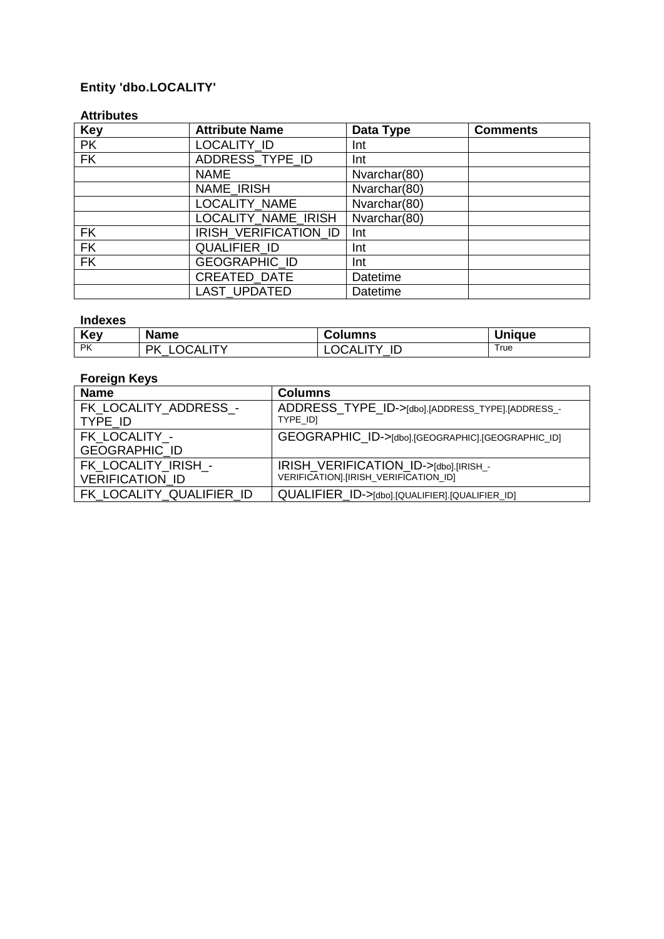## **Entity 'dbo.LOCALITY'**

#### **Attributes**

| <b>Key</b> | <b>Attribute Name</b> | Data Type    | <b>Comments</b> |
|------------|-----------------------|--------------|-----------------|
| <b>PK</b>  | LOCALITY ID           | Int          |                 |
| <b>FK</b>  | ADDRESS TYPE ID       | Int          |                 |
|            | <b>NAME</b>           | Nvarchar(80) |                 |
|            | NAME IRISH            | Nvarchar(80) |                 |
|            | LOCALITY_NAME         | Nvarchar(80) |                 |
|            | LOCALITY NAME IRISH   | Nvarchar(80) |                 |
| <b>FK</b>  | IRISH_VERIFICATION_ID | Int          |                 |
| <b>FK</b>  | <b>QUALIFIER ID</b>   | Int          |                 |
| <b>FK</b>  | <b>GEOGRAPHIC ID</b>  | Int          |                 |
|            | CREATED_DATE          | Datetime     |                 |
|            | <b>LAST UPDATED</b>   | Datetime     |                 |

#### **Indexes**

| Key       | <b>Name</b>   | Columns     | <b>Unique</b> |
|-----------|---------------|-------------|---------------|
| <b>PK</b> | Dk<br>''OCALL | ΙC<br>OCAL. | True          |

| <b>Name</b>                                   | <b>Columns</b>                                                                 |
|-----------------------------------------------|--------------------------------------------------------------------------------|
| FK LOCALITY ADDRESS -<br>TYPE ID              | ADDRESS_TYPE_ID->[dbo].[ADDRESS_TYPE].[ADDRESS_-<br>TYPE IDI                   |
| FK LOCALITY -<br><b>GEOGRAPHIC ID</b>         | GEOGRAPHIC_ID->[dbo].[GEOGRAPHIC].[GEOGRAPHIC_ID]                              |
| FK LOCALITY IRISH -<br><b>VERIFICATION ID</b> | IRISH_VERIFICATION_ID->[dbo].[IRISH_-<br>VERIFICATION].[IRISH_VERIFICATION_ID] |
| FK LOCALITY QUALIFIER ID                      | QUALIFIER_ID->[dbo].[QUALIFIER].[QUALIFIER_ID]                                 |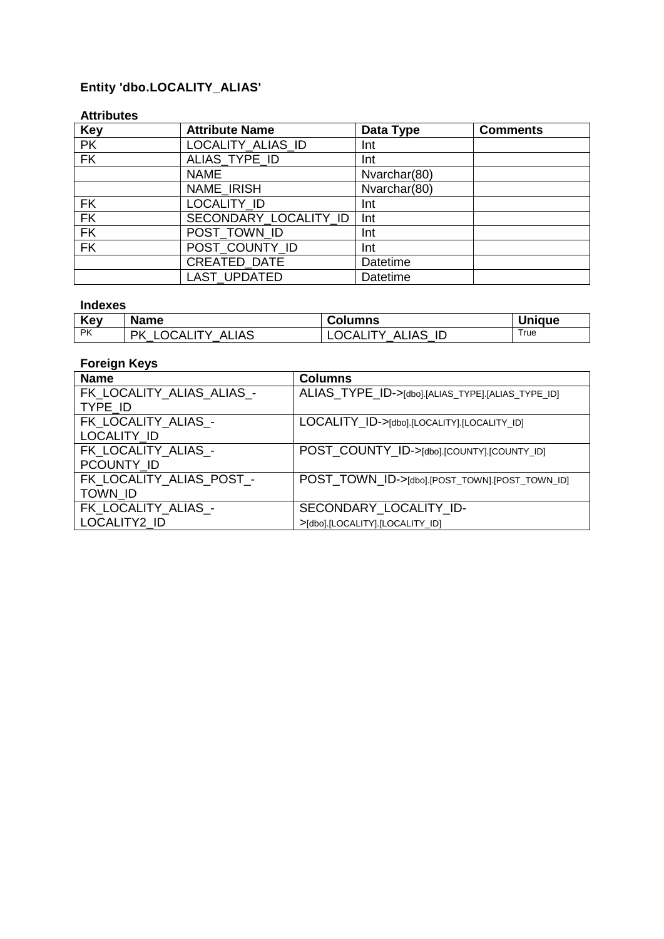## **Entity 'dbo.LOCALITY\_ALIAS'**

#### **Attributes**

| <b>Key</b> | <b>Attribute Name</b> | Data Type    | <b>Comments</b> |
|------------|-----------------------|--------------|-----------------|
| <b>PK</b>  | LOCALITY_ALIAS_ID     | Int          |                 |
| FK         | ALIAS_TYPE_ID         | Int          |                 |
|            | <b>NAME</b>           | Nvarchar(80) |                 |
|            | NAME IRISH            | Nvarchar(80) |                 |
| <b>FK</b>  | LOCALITY ID           | Int          |                 |
| FK         | SECONDARY LOCALITY ID | Int          |                 |
| <b>FK</b>  | POST_TOWN_ID          | Int          |                 |
| <b>FK</b>  | POST COUNTY ID        | Int          |                 |
|            | CREATED_DATE          | Datetime     |                 |
|            | LAST_UPDATED          | Datetime     |                 |

### **Indexes**

| Key       | <b>Name</b>                               | <b>Columns</b>                              | <b>Unique</b> |
|-----------|-------------------------------------------|---------------------------------------------|---------------|
| <b>PK</b> | ΡK<br><b>ALIAS</b><br>CALITY.<br>ำ(<br>__ | ID<br>ALIAS<br>CALI<br>$\cdot$ IV<br>' )(,, | True          |

| <b>Name</b>               | <b>Columns</b>                                    |
|---------------------------|---------------------------------------------------|
| FK_LOCALITY_ALIAS_ALIAS_- | ALIAS_TYPE_ID->[dbo].[ALIAS_TYPE].[ALIAS_TYPE_ID] |
| TYPE ID                   |                                                   |
| FK LOCALITY ALIAS -       | LOCALITY_ID->[dbo].[LOCALITY].[LOCALITY_ID]       |
| LOCALITY_ID               |                                                   |
| FK LOCALITY ALIAS -       | POST_COUNTY_ID->[dbo].[COUNTY].[COUNTY_ID]        |
| PCOUNTY_ID                |                                                   |
| FK_LOCALITY_ALIAS_POST_-  | POST_TOWN_ID->[dbo].[POST_TOWN].[POST_TOWN_ID]    |
| <b>TOWN ID</b>            |                                                   |
| FK_LOCALITY_ALIAS_-       | SECONDARY LOCALITY ID-                            |
| LOCALITY2 ID              | >[dbo].[LOCALITY].[LOCALITY_ID]                   |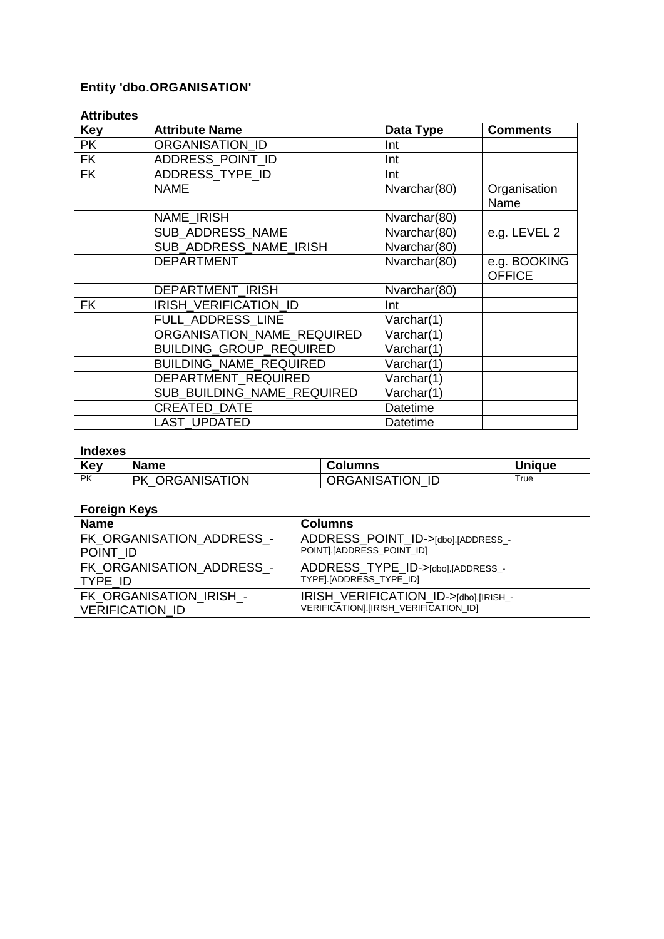## **Entity 'dbo.ORGANISATION'**

#### **Attributes**

| <b>Key</b> | <b>Attribute Name</b>          | Data Type    | <b>Comments</b>               |
|------------|--------------------------------|--------------|-------------------------------|
| <b>PK</b>  | <b>ORGANISATION ID</b>         | Int          |                               |
| <b>FK</b>  | ADDRESS POINT ID               | Int          |                               |
| <b>FK</b>  | ADDRESS_TYPE_ID                | Int          |                               |
|            | <b>NAME</b>                    | Nvarchar(80) | Organisation<br>Name          |
|            | <b>NAME IRISH</b>              | Nvarchar(80) |                               |
|            | SUB ADDRESS NAME               | Nvarchar(80) | e.g. LEVEL 2                  |
|            | SUB ADDRESS NAME IRISH         | Nvarchar(80) |                               |
|            | <b>DEPARTMENT</b>              | Nvarchar(80) | e.g. BOOKING<br><b>OFFICE</b> |
|            | DEPARTMENT_IRISH               | Nvarchar(80) |                               |
| <b>FK</b>  | IRISH VERIFICATION ID          | Int          |                               |
|            | FULL ADDRESS LINE              | Varchar(1)   |                               |
|            | ORGANISATION NAME REQUIRED     | Varchar(1)   |                               |
|            | <b>BUILDING GROUP REQUIRED</b> | Varchar(1)   |                               |
|            | BUILDING_NAME_REQUIRED         | Varchar(1)   |                               |
|            | DEPARTMENT REQUIRED            | Varchar(1)   |                               |
|            | SUB BUILDING NAME REQUIRED     | Varchar(1)   |                               |
|            | <b>CREATED DATE</b>            | Datetime     |                               |
|            | <b>LAST UPDATED</b>            | Datetime     |                               |

### **Indexes**

| Key       | <b>Name</b>         | <b>Columns</b>  | <b>Unique</b> |
|-----------|---------------------|-----------------|---------------|
| <b>PK</b> | ORGANISATION<br>PK. | ORGANISATION ID | ™rue          |

| <b>Name</b>               | <b>Columns</b>                        |
|---------------------------|---------------------------------------|
| FK ORGANISATION ADDRESS - | ADDRESS POINT ID->[dbo].[ADDRESS_-    |
| POINT ID                  | POINTI. [ADDRESS POINT ID]            |
| FK ORGANISATION_ADDRESS_- | ADDRESS TYPE ID->[dbo].[ADDRESS_-     |
| TYPE ID                   | TYPE].[ADDRESS TYPE ID]               |
| FK ORGANISATION IRISH -   | IRISH VERIFICATION_ID->[dbo].[IRISH_- |
| VERIFICATION ID           | VERIFICATION].[IRISH_VERIFICATION_ID] |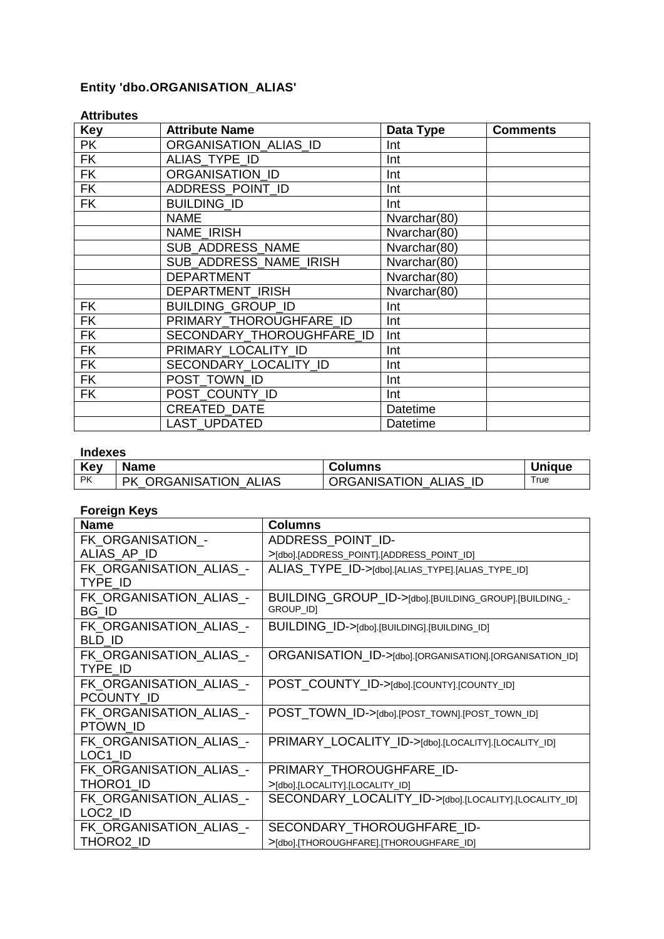## **Entity 'dbo.ORGANISATION\_ALIAS'**

| AllINULGS  |                           |                                   |                 |
|------------|---------------------------|-----------------------------------|-----------------|
| <b>Key</b> | <b>Attribute Name</b>     | Data Type                         | <b>Comments</b> |
| <b>PK</b>  | ORGANISATION_ALIAS_ID     | Int                               |                 |
| <b>FK</b>  | ALIAS TYPE ID             | Int                               |                 |
| <b>FK</b>  | <b>ORGANISATION ID</b>    | Int                               |                 |
| <b>FK</b>  | ADDRESS_POINT_ID          | Int                               |                 |
| <b>FK</b>  | <b>BUILDING ID</b>        | Int                               |                 |
|            | <b>NAME</b>               | Nvarchar(80)                      |                 |
|            | <b>NAME IRISH</b>         | Nvarchar(80)                      |                 |
|            | <b>SUB ADDRESS NAME</b>   | Nvarchar(80)                      |                 |
|            | SUB ADDRESS NAME IRISH    | $\overline{\text{N}}$ varchar(80) |                 |
|            | <b>DEPARTMENT</b>         | Nvarchar(80)                      |                 |
|            | <b>DEPARTMENT IRISH</b>   | Nvarchar(80)                      |                 |
| <b>FK</b>  | <b>BUILDING GROUP ID</b>  | Int                               |                 |
| <b>FK</b>  | PRIMARY_THOROUGHFARE_ID   | Int                               |                 |
| <b>FK</b>  | SECONDARY_THOROUGHFARE_ID | Int                               |                 |
| <b>FK</b>  | PRIMARY_LOCALITY_ID       | Int                               |                 |
| <b>FK</b>  | SECONDARY_LOCALITY ID     | Int                               |                 |
| <b>FK</b>  | POST TOWN ID              | Int                               |                 |
| <b>FK</b>  | POST COUNTY ID            | Int                               |                 |
|            | <b>CREATED DATE</b>       | Datetime                          |                 |
|            | <b>LAST UPDATED</b>       | <b>Datetime</b>                   |                 |

#### **Attributes**

#### **Indexes**

| Key       | <b>Name</b>                     | <b>Columns</b>                     | <b>Unique</b> |
|-----------|---------------------------------|------------------------------------|---------------|
| <b>PK</b> | ORGANISATION ALIAS<br><b>PK</b> | <b>ORGANISATION</b><br>ALIAS<br>ID | True          |

| <b>Name</b>                           | <b>Columns</b>                                                     |
|---------------------------------------|--------------------------------------------------------------------|
| FK_ORGANISATION_-                     | ADDRESS_POINT_ID-                                                  |
| ALIAS AP ID                           | >[dbo].[ADDRESS_POINT].[ADDRESS_POINT_ID]                          |
| FK_ORGANISATION_ALIAS_-<br>TYPE ID    | ALIAS TYPE ID->[dbo].[ALIAS_TYPE].[ALIAS_TYPE_ID]                  |
| FK_ORGANISATION_ALIAS_-<br>BG ID      | BUILDING_GROUP_ID->[dbo].[BUILDING_GROUP].[BUILDING_-<br>GROUP_ID] |
| FK_ORGANISATION_ALIAS_-<br>BLD ID     | BUILDING_ID->[dbo].[BUILDING].[BUILDING_ID]                        |
| FK ORGANISATION ALIAS -<br>TYPE ID    | ORGANISATION_ID->[dbo].[ORGANISATION].[ORGANISATION_ID]            |
| FK ORGANISATION ALIAS -<br>PCOUNTY ID | POST_COUNTY_ID->[dbo].[COUNTY].[COUNTY_ID]                         |
| FK ORGANISATION ALIAS -<br>PTOWN ID   | POST_TOWN_ID->[dbo].[POST_TOWN].[POST_TOWN_ID]                     |
| FK ORGANISATION ALIAS -<br>LOC1 ID    | PRIMARY_LOCALITY_ID->[dbo].[LOCALITY].[LOCALITY_ID]                |
| FK_ORGANISATION_ALIAS_-               | PRIMARY_THOROUGHFARE_ID-                                           |
| THORO1 ID                             | >[dbo].[LOCALITY].[LOCALITY_ID]                                    |
| FK_ORGANISATION_ALIAS_-<br>LOC2 ID    | SECONDARY_LOCALITY_ID->[dbo].[LOCALITY].[LOCALITY_ID]              |
| FK ORGANISATION ALIAS -               | SECONDARY THOROUGHFARE ID-                                         |
| THORO2_ID                             | >[dbo].[THOROUGHFARE].[THOROUGHFARE_ID]                            |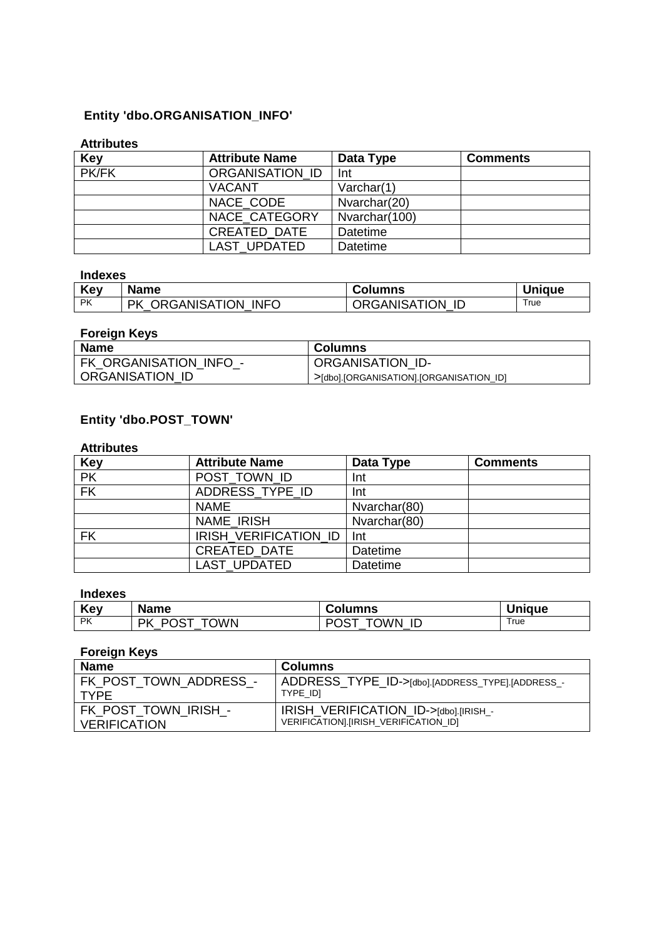### **Entity 'dbo.ORGANISATION\_INFO'**

#### **Attributes**

| <b>Key</b> | <b>Attribute Name</b> | Data Type       | <b>Comments</b> |
|------------|-----------------------|-----------------|-----------------|
| PK/FK      | ORGANISATION ID       | Int             |                 |
|            | <b>VACANT</b>         | Varchar(1)      |                 |
|            | NACE CODE             | Nvarchar(20)    |                 |
|            | NACE_CATEGORY         | Nvarchar(100)   |                 |
|            | <b>CREATED DATE</b>   | <b>Datetime</b> |                 |
|            | <b>LAST UPDATED</b>   | <b>Datetime</b> |                 |

#### **Indexes**

| Kev       | <b>Name</b>                      | Columns                | <b>Unique</b> |
|-----------|----------------------------------|------------------------|---------------|
| <b>PK</b> | <b>CORGANISATION INFO</b><br>PK. | <b>ORGANISATION ID</b> | True          |

### **Foreign Keys**

| <b>Name</b>            | Columns                                 |
|------------------------|-----------------------------------------|
| FK ORGANISATION INFO - | <b>ORGANISATION ID-</b>                 |
| ORGANISATION ID        | >[dbo].[ORGANISATION].[ORGANISATION ID] |

### **Entity 'dbo.POST\_TOWN'**

#### **Attributes**

| <b>Key</b>               | <b>Attribute Name</b>  | Data Type       | <b>Comments</b> |
|--------------------------|------------------------|-----------------|-----------------|
| $\overline{\mathsf{PK}}$ | POST_TOWN ID           | Int             |                 |
| $\overline{\mathsf{FK}}$ | ADDRESS TYPE ID<br>Int |                 |                 |
|                          | <b>NAME</b>            | Nvarchar(80)    |                 |
|                          | NAME IRISH             | Nvarchar(80)    |                 |
| <b>FK</b>                | IRISH VERIFICATION ID  | Int             |                 |
|                          | <b>CREATED DATE</b>    | Datetime        |                 |
|                          | <b>LAST UPDATED</b>    | <b>Datetime</b> |                 |

### **Indexes**

| Key       | <b>Name</b>             | <b>Columns</b>   | <b>Unique</b> |
|-----------|-------------------------|------------------|---------------|
| <b>PK</b> | <b>TOWN</b><br>PK<br>ים | <b>OWN</b><br>ID | True          |

| <b>Name</b>            | Columns                                         |
|------------------------|-------------------------------------------------|
| FK POST TOWN ADDRESS - | ADDRESS_TYPE_ID->[dbo].[ADDRESS_TYPE].[ADDRESS_ |
| <b>TYPF</b>            | TYPE IDI                                        |
| FK_POST_TOWN_IRISH_-   | IRISH_VERIFICATION_ID->[dbo].[IRISH_-           |
| <b>VERIFICATION</b>    | VERIFICATION].[IRISH_VERIFICATION_ID]           |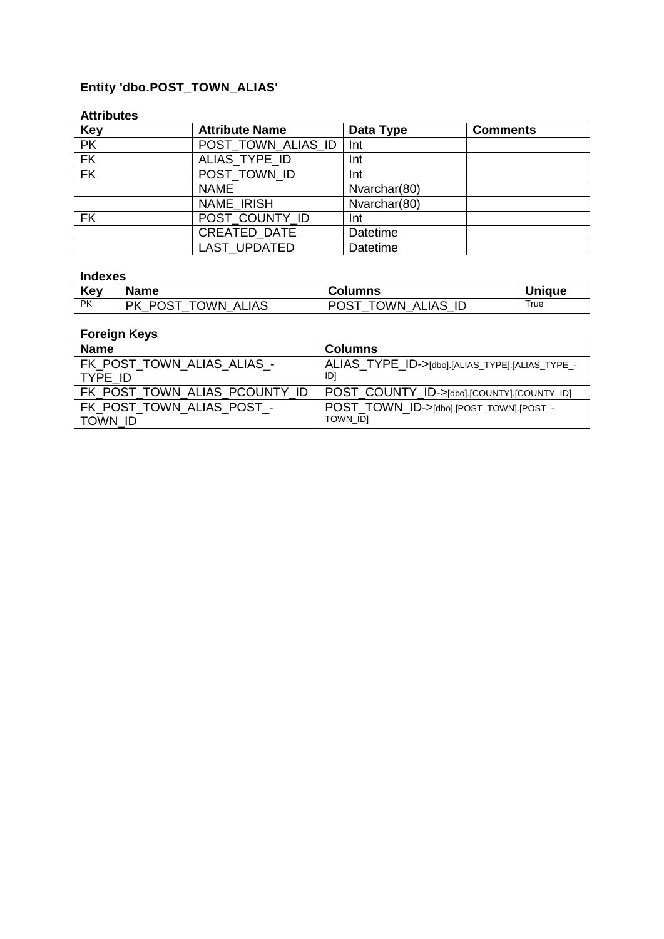## **Entity 'dbo.POST\_TOWN\_ALIAS'**

#### **Attributes**

| <b>Key</b> | <b>Attribute Name</b> | Data Type       | <b>Comments</b> |
|------------|-----------------------|-----------------|-----------------|
| PK         | POST_TOWN_ALIAS_ID    | Int             |                 |
| <b>FK</b>  | ALIAS TYPE ID         | Int             |                 |
| FK         | POST TOWN ID          | Int             |                 |
|            | <b>NAME</b>           | Nvarchar(80)    |                 |
|            | NAME IRISH            | Nvarchar(80)    |                 |
| <b>FK</b>  | POST_COUNTY_ID        | Int             |                 |
|            | <b>CREATED DATE</b>   | <b>Datetime</b> |                 |
|            | LAST_UPDATED          | Datetime        |                 |

### **Indexes**

| Key       | <b>Name</b>                                      | <b>Columns</b>                      | <b>Unique</b> |
|-----------|--------------------------------------------------|-------------------------------------|---------------|
| <b>PK</b> | <b>POST</b><br><b>TOWN</b><br>РK<br><b>ALIAS</b> | TOWN,<br><b>POST</b><br>ID<br>ALIAS | True          |

| <b>Name</b>                   | <b>Columns</b>                                  |
|-------------------------------|-------------------------------------------------|
| FK POST TOWN ALIAS ALIAS -    | ALIAS_TYPE_ID->[dbo].[ALIAS_TYPE].[ALIAS_TYPE_- |
| TYPE ID                       | וסו                                             |
| FK POST TOWN ALIAS PCOUNTY ID | POST_COUNTY_ID->[dbo].[COUNTY].[COUNTY_ID]      |
| FK POST TOWN ALIAS POST -     | POST TOWN ID->[dbo].[POST_TOWN].[POST_-         |
| TOWN ID                       | TOWN IDI                                        |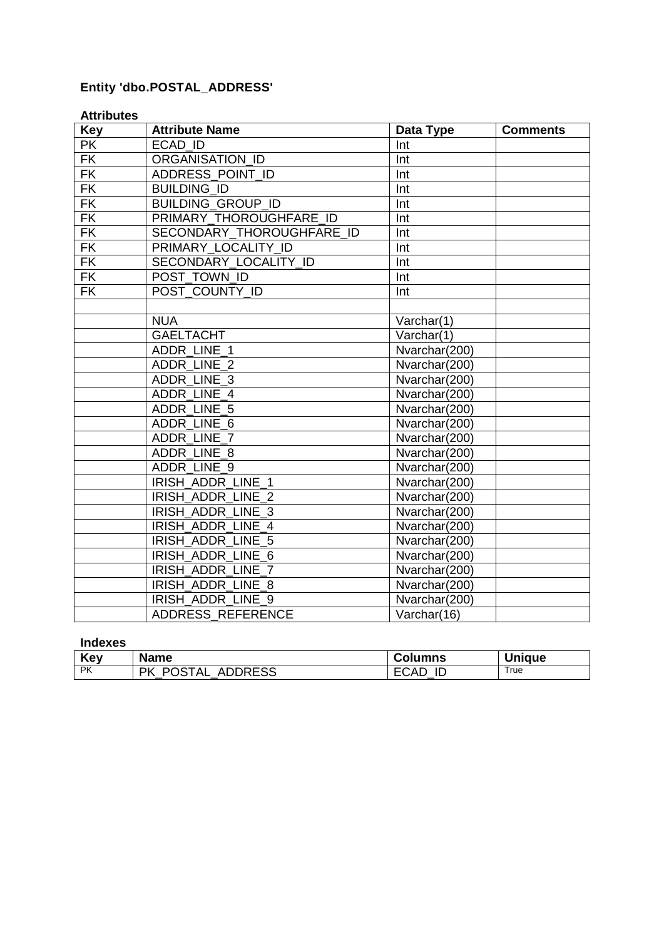## **Entity 'dbo.POSTAL\_ADDRESS'**

#### **Attributes**

| <b>Key</b>               | <b>Attribute Name</b>     | Data Type     | <b>Comments</b> |
|--------------------------|---------------------------|---------------|-----------------|
| <b>PK</b>                | ECAD ID                   | Int           |                 |
| $\overline{\mathsf{FK}}$ | ORGANISATION ID           | Int           |                 |
| <b>FK</b>                | ADDRESS_POINT_ID          | Int           |                 |
| <b>FK</b>                | <b>BUILDING ID</b>        | Int           |                 |
| <b>FK</b>                | <b>BUILDING GROUP ID</b>  | Int           |                 |
| $\overline{\mathsf{FK}}$ | PRIMARY THOROUGHFARE ID   | Int           |                 |
| FK                       | SECONDARY_THOROUGHFARE_ID | Int           |                 |
| FK                       | PRIMARY LOCALITY ID       | Int           |                 |
| <b>FK</b>                | SECONDARY LOCALITY ID     | Int           |                 |
| <b>FK</b>                | POST TOWN ID              | Int           |                 |
| $\overline{\mathsf{FK}}$ | POST COUNTY ID            | Int           |                 |
|                          |                           |               |                 |
|                          | <b>NUA</b>                | Varchar(1)    |                 |
|                          | <b>GAELTACHT</b>          | Varchar(1)    |                 |
|                          | ADDR LINE 1               | Nvarchar(200) |                 |
|                          | ADDR LINE 2               | Nvarchar(200) |                 |
|                          | ADDR LINE 3               | Nvarchar(200) |                 |
|                          | ADDR LINE 4               | Nvarchar(200) |                 |
|                          | ADDR LINE 5               | Nvarchar(200) |                 |
|                          | ADDR LINE 6               | Nvarchar(200) |                 |
|                          | ADDR LINE 7               | Nvarchar(200) |                 |
|                          | ADDR LINE 8               | Nvarchar(200) |                 |
|                          | ADDR LINE 9               | Nvarchar(200) |                 |
|                          | IRISH ADDR LINE 1         | Nvarchar(200) |                 |
|                          | IRISH ADDR LINE 2         | Nvarchar(200) |                 |
|                          | IRISH ADDR LINE 3         | Nvarchar(200) |                 |
|                          | IRISH ADDR LINE 4         | Nvarchar(200) |                 |
|                          | IRISH ADDR LINE 5         | Nvarchar(200) |                 |
|                          | IRISH ADDR LINE 6         | Nvarchar(200) |                 |
|                          | IRISH_ADDR_LINE_7         | Nvarchar(200) |                 |
|                          | IRISH ADDR LINE 8         | Nvarchar(200) |                 |
|                          | IRISH ADDR LINE 9         | Nvarchar(200) |                 |
|                          | ADDRESS_REFERENCE         | Varchar(16)   |                 |

#### **Indexes**

| Key       | <b>Name</b>                    | Columns    | <b>Unique</b> |
|-----------|--------------------------------|------------|---------------|
| <b>PK</b> | POSTAL<br><b>ADDRESS</b><br>РK | FCAD<br>ID | True          |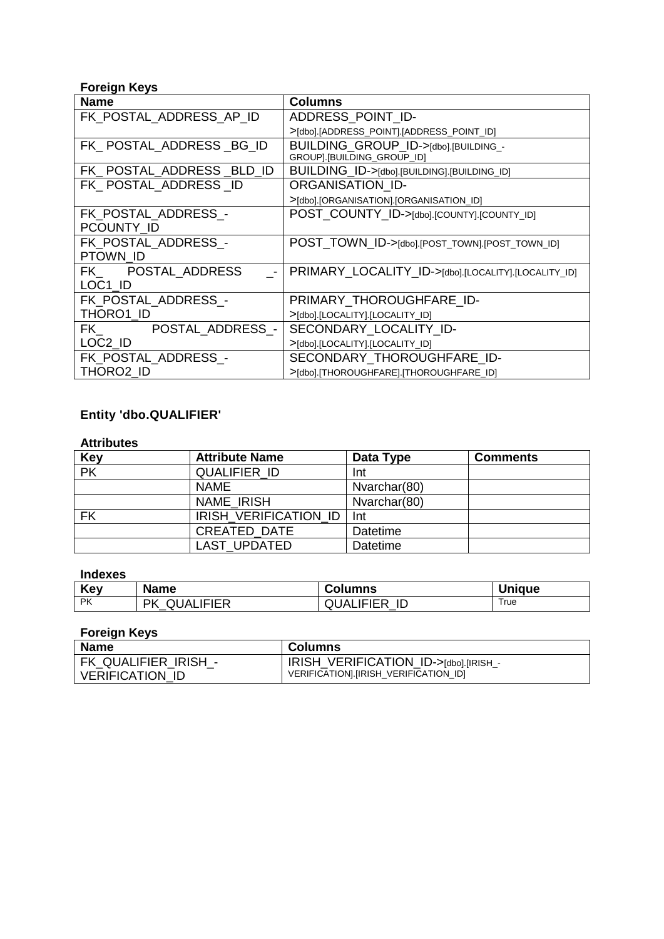#### **Foreign Keys**

| . <b>.</b><br><b>Name</b>                                                                                                           | <b>Columns</b>                                      |
|-------------------------------------------------------------------------------------------------------------------------------------|-----------------------------------------------------|
| FK_POSTAL_ADDRESS_AP_ID                                                                                                             | ADDRESS POINT ID-                                   |
|                                                                                                                                     | >[dbo].[ADDRESS_POINT].[ADDRESS_POINT_ID]           |
| FK POSTAL ADDRESS BG ID                                                                                                             | BUILDING_GROUP_ID->[dbo].[BUILDING_-                |
|                                                                                                                                     | GROUP].[BUILDING_GROUP_ID]                          |
| FK POSTAL ADDRESS BLD ID                                                                                                            | BUILDING_ID->[dbo].[BUILDING].[BUILDING_ID]         |
| FK POSTAL ADDRESS ID                                                                                                                | <b>ORGANISATION ID-</b>                             |
|                                                                                                                                     | >[dbo].[ORGANISATION].[ORGANISATION_ID]             |
| FK POSTAL ADDRESS -                                                                                                                 | POST_COUNTY_ID->[dbo].[COUNTY].[COUNTY_ID]          |
| PCOUNTY ID                                                                                                                          |                                                     |
| FK POSTAL ADDRESS -                                                                                                                 | POST_TOWN_ID->[dbo].[POST_TOWN].[POST_TOWN_ID]      |
| PTOWN ID                                                                                                                            |                                                     |
| FK POSTAL ADDRESS                                                                                                                   | PRIMARY_LOCALITY_ID->[dbo].[LOCALITY].[LOCALITY_ID] |
| LOC1 ID                                                                                                                             |                                                     |
| FK POSTAL ADDRESS -                                                                                                                 | PRIMARY_THOROUGHFARE_ID-                            |
| THORO1 ID                                                                                                                           | >[dbo].[LOCALITY].[LOCALITY_ID]                     |
| POSTAL_ADDRESS_-<br>FK the set of the set of the set of the set of the set of the set of the set of the set of the set of the set o | SECONDARY LOCALITY ID-                              |
| LOC2 ID                                                                                                                             | >[dbo].[LOCALITY].[LOCALITY_ID]                     |
| FK POSTAL ADDRESS -                                                                                                                 | SECONDARY_THOROUGHFARE ID-                          |
| THORO2 ID                                                                                                                           | >[dbo].[THOROUGHFARE].[THOROUGHFARE_ID]             |

# **Entity 'dbo.QUALIFIER'**

#### **Attributes**

| <b>Key</b> | <b>Attribute Name</b>          | Data Type       | <b>Comments</b> |
|------------|--------------------------------|-----------------|-----------------|
| PK         | <b>QUALIFIER ID</b>            | Int             |                 |
|            | <b>NAME</b>                    | Nvarchar(80)    |                 |
|            | <b>NAME IRISH</b>              | Nvarchar(80)    |                 |
| <b>FK</b>  | <b>IRISH VERIFICATION ID  </b> | <b>Int</b>      |                 |
|            | <b>CREATED DATE</b>            | <b>Datetime</b> |                 |
|            | <b>LAST UPDATED</b>            | Datetime        |                 |

#### **Indexes**

| Key       | <b>Name</b>            | Columns                | Unique |
|-----------|------------------------|------------------------|--------|
| <b>PK</b> | <b>QUALIFIER</b><br>РK | <b>QUALIFIER</b><br>ID | True   |

| <b>Name</b>            | <b>Columns</b>                        |
|------------------------|---------------------------------------|
| FK QUALIFIER IRISH -   | IRISH VERIFICATION_ID->[dbo].[IRISH_- |
| <b>VERIFICATION ID</b> | VERIFICATION].[IRISH_VERIFICATION_ID] |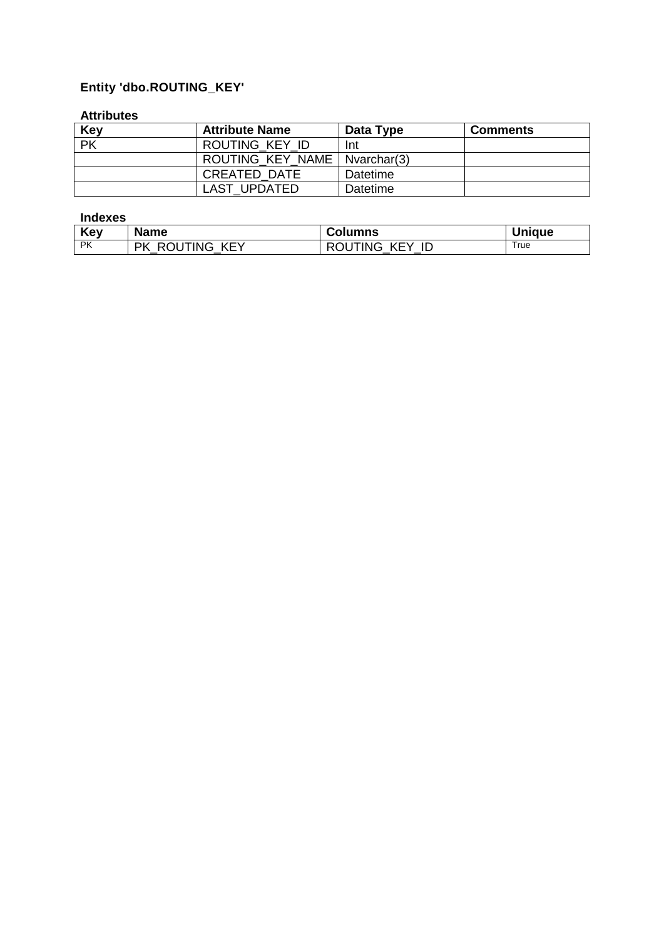## **Entity 'dbo.ROUTING\_KEY'**

#### **Attributes**

| <b>Key</b> | <b>Attribute Name</b>          | Data Type | <b>Comments</b> |
|------------|--------------------------------|-----------|-----------------|
| <b>PK</b>  | ROUTING KEY ID                 | Int       |                 |
|            | ROUTING KEY NAME   Nvarchar(3) |           |                 |
|            | <b>CREATED DATE</b>            | Datetime  |                 |
|            | LAST UPDATED                   | Datetime  |                 |

#### **Indexes**

| Key       | <b>Name</b>                  | <b>Columns</b>                        | <b>Unique</b> |
|-----------|------------------------------|---------------------------------------|---------------|
| <b>PK</b> | JUTING .<br>KEY<br>РK<br>R C | "ING<br><b>KEY</b><br>ID<br>RĽ<br>$-$ | True          |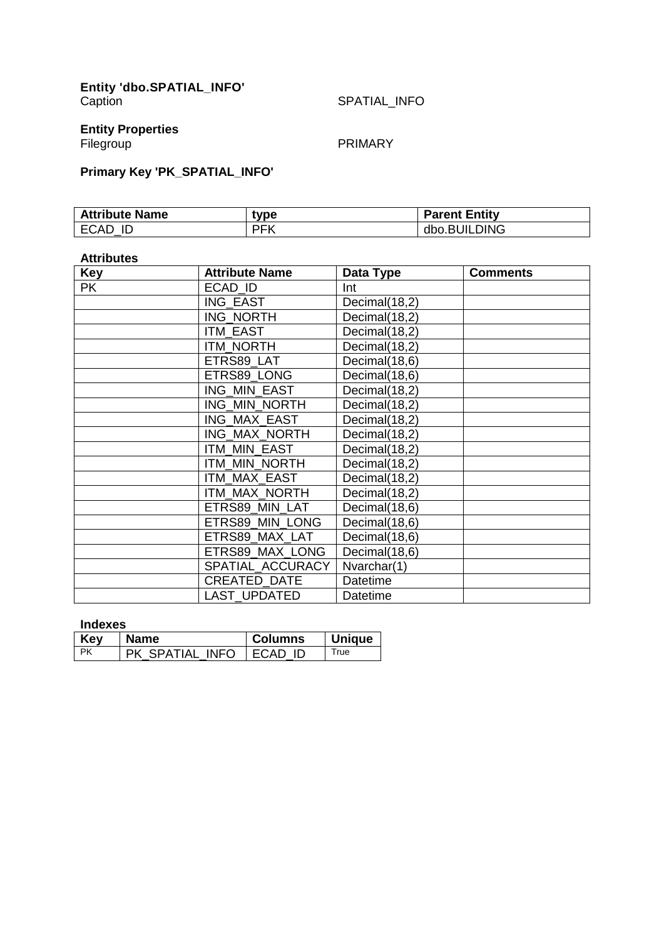### **Entity Properties**

Filegroup **PRIMARY** 

## **Primary Key 'PK\_SPATIAL\_INFO'**

| <b>Attribute Name</b> | tvpe | <b>Parent Entity</b> |
|-----------------------|------|----------------------|
| <b>ECAD</b><br>ID     | PFK  | dbo.BUILDING         |

#### **Attributes**

| <b>Key</b> | <b>Attribute Name</b> | Data Type     | <b>Comments</b> |
|------------|-----------------------|---------------|-----------------|
| <b>PK</b>  | ECAD ID               | Int           |                 |
|            | ING EAST              | Decimal(18,2) |                 |
|            | <b>ING NORTH</b>      | Decimal(18,2) |                 |
|            | <b>ITM EAST</b>       | Decimal(18,2) |                 |
|            | <b>ITM NORTH</b>      | Decimal(18,2) |                 |
|            | ETRS89_LAT            | Decimal(18,6) |                 |
|            | ETRS89 LONG           | Decimal(18,6) |                 |
|            | ING MIN EAST          | Decimal(18,2) |                 |
|            | ING_MIN_NORTH         | Decimal(18,2) |                 |
|            | ING MAX EAST          | Decimal(18,2) |                 |
|            | ING MAX NORTH         | Decimal(18,2) |                 |
|            | <b>ITM MIN EAST</b>   | Decimal(18,2) |                 |
|            | ITM MIN NORTH         | Decimal(18,2) |                 |
|            | ITM MAX EAST          | Decimal(18,2) |                 |
|            | ITM MAX NORTH         | Decimal(18,2) |                 |
|            | ETRS89 MIN LAT        | Decimal(18,6) |                 |
|            | ETRS89 MIN LONG       | Decimal(18,6) |                 |
|            | ETRS89 MAX LAT        | Decimal(18,6) |                 |
|            | ETRS89 MAX LONG       | Decimal(18,6) |                 |
|            | SPATIAL ACCURACY      | Nvarchar(1)   |                 |
|            | CREATED_DATE          | Datetime      |                 |
|            | <b>LAST UPDATED</b>   | Datetime      |                 |

#### **Indexes**

| Key | <b>Name</b>               | <b>Columns</b> | <b>Unique</b> |
|-----|---------------------------|----------------|---------------|
| PK  | PK SPATIAL INFO I ECAD ID |                | True          |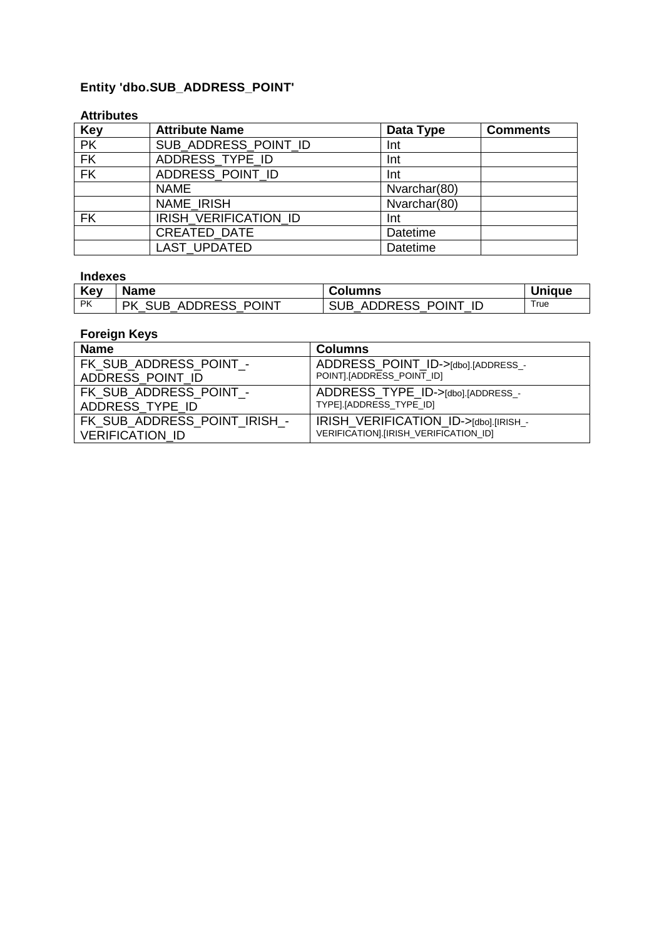## **Entity 'dbo.SUB\_ADDRESS\_POINT'**

#### **Attributes**

| <b>Key</b>               | <b>Attribute Name</b> | Data Type    | <b>Comments</b> |
|--------------------------|-----------------------|--------------|-----------------|
| $\overline{\mathsf{PK}}$ | SUB ADDRESS POINT ID  | Int          |                 |
| FK                       | ADDRESS_TYPE_ID       | Int          |                 |
| FK                       | ADDRESS_POINT_ID      | Int          |                 |
|                          | <b>NAME</b>           | Nvarchar(80) |                 |
|                          | <b>NAME IRISH</b>     | Nvarchar(80) |                 |
| <b>FK</b>                | IRISH VERIFICATION ID | Int          |                 |
|                          | <b>CREATED DATE</b>   | Datetime     |                 |
|                          | <b>LAST UPDATED</b>   | Datetime     |                 |

#### **Indexes**

| Key       | <b>Name</b>                 | Columns              | <b>Unique</b> |
|-----------|-----------------------------|----------------------|---------------|
| <b>PK</b> | <b>PK SUB ADDRESS POINT</b> | SUB ADDRESS POINT ID | True          |

| <b>Name</b>                  | <b>Columns</b>                        |
|------------------------------|---------------------------------------|
| FK SUB ADDRESS POINT -       | ADDRESS POINT ID->[dbo].[ADDRESS_-    |
| ADDRESS POINT ID             | POINT].[ADDRESS_POINT_ID]             |
| FK SUB ADDRESS POINT -       | ADDRESS_TYPE_ID->[dbo].[ADDRESS_-     |
| ADDRESS TYPE ID              | TYPE].[ADDRESS_TYPE_ID]               |
| FK SUB_ADDRESS_POINT_IRISH_- | IRISH_VERIFICATION_ID->[dbo].[IRISH_- |
| <b>VERIFICATION ID</b>       | VERIFICATION].[IRISH_VERIFICATION_ID] |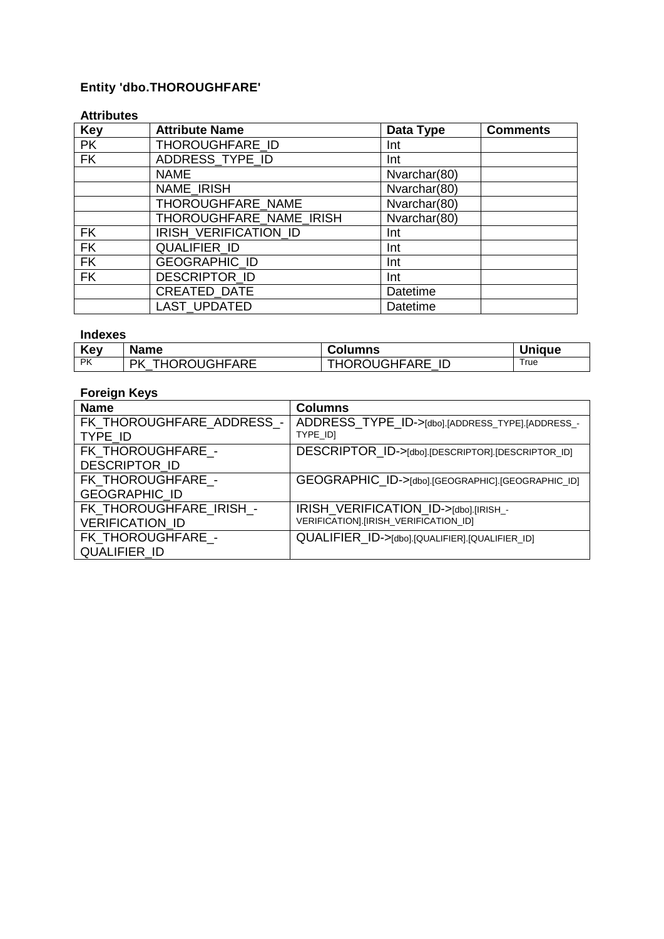## **Entity 'dbo.THOROUGHFARE'**

#### **Attributes**

| <b>Key</b> | <b>Attribute Name</b>   | Data Type    | <b>Comments</b> |
|------------|-------------------------|--------------|-----------------|
| <b>PK</b>  | THOROUGHFARE ID         | Int          |                 |
| <b>FK</b>  | ADDRESS_TYPE_ID         | Int          |                 |
|            | <b>NAME</b>             | Nvarchar(80) |                 |
|            | <b>NAME IRISH</b>       | Nvarchar(80) |                 |
|            | THOROUGHFARE NAME       | Nvarchar(80) |                 |
|            | THOROUGHFARE_NAME_IRISH | Nvarchar(80) |                 |
| <b>FK</b>  | IRISH VERIFICATION ID   | Int          |                 |
| <b>FK</b>  | QUALIFIER_ID            | Int          |                 |
| <b>FK</b>  | GEOGRAPHIC_ID           | Int          |                 |
| <b>FK</b>  | DESCRIPTOR_ID           | Int          |                 |
|            | CREATED_DATE            | Datetime     |                 |
|            | <b>LAST UPDATED</b>     | Datetime     |                 |

#### **Indexes**

| Key       | <b>Name</b>                     | <b>Columns</b>                            | <b>Unique</b> |
|-----------|---------------------------------|-------------------------------------------|---------------|
| <b>PK</b> | <b>CROUGHFARE</b><br>DK.<br>⊺H0 | <b>OROUGHFARE</b><br>ID<br>. н $\epsilon$ | True          |

| <b>Name</b>                                       | <b>Columns</b>                                                                 |
|---------------------------------------------------|--------------------------------------------------------------------------------|
| FK THOROUGHFARE ADDRESS -<br>TYPE ID              | ADDRESS_TYPE_ID->[dbo].[ADDRESS_TYPE].[ADDRESS_-<br>TYPE IDI                   |
| FK THOROUGHFARE -<br><b>DESCRIPTOR ID</b>         | DESCRIPTOR_ID->[dbo].[DESCRIPTOR].[DESCRIPTOR_ID]                              |
| FK THOROUGHFARE -<br><b>GEOGRAPHIC ID</b>         | GEOGRAPHIC ID->[dbo].[GEOGRAPHIC].[GEOGRAPHIC_ID]                              |
| FK THOROUGHFARE IRISH -<br><b>VERIFICATION ID</b> | IRISH_VERIFICATION_ID->[dbo].[IRISH_-<br>VERIFICATION].[IRISH_VERIFICATION_ID] |
| FK THOROUGHFARE -<br><b>QUALIFIER ID</b>          | QUALIFIER_ID->[dbo].[QUALIFIER].[QUALIFIER_ID]                                 |